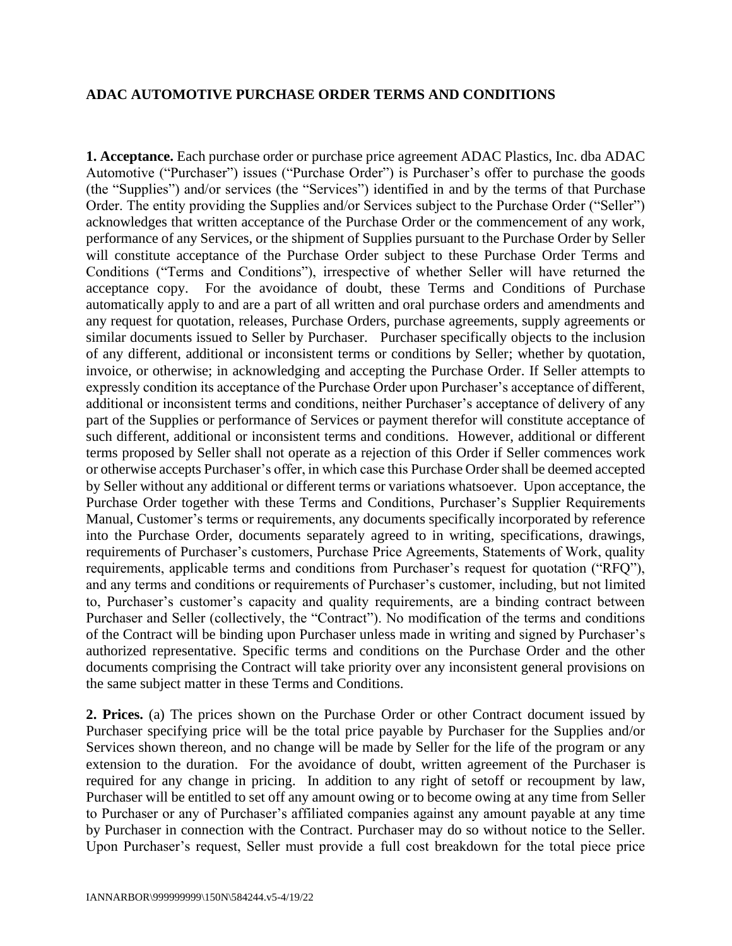## **ADAC AUTOMOTIVE PURCHASE ORDER TERMS AND CONDITIONS**

**1. Acceptance.** Each purchase order or purchase price agreement ADAC Plastics, Inc. dba ADAC Automotive ("Purchaser") issues ("Purchase Order") is Purchaser's offer to purchase the goods (the "Supplies") and/or services (the "Services") identified in and by the terms of that Purchase Order. The entity providing the Supplies and/or Services subject to the Purchase Order ("Seller") acknowledges that written acceptance of the Purchase Order or the commencement of any work, performance of any Services, or the shipment of Supplies pursuant to the Purchase Order by Seller will constitute acceptance of the Purchase Order subject to these Purchase Order Terms and Conditions ("Terms and Conditions"), irrespective of whether Seller will have returned the acceptance copy. For the avoidance of doubt, these Terms and Conditions of Purchase automatically apply to and are a part of all written and oral purchase orders and amendments and any request for quotation, releases, Purchase Orders, purchase agreements, supply agreements or similar documents issued to Seller by Purchaser. Purchaser specifically objects to the inclusion of any different, additional or inconsistent terms or conditions by Seller; whether by quotation, invoice, or otherwise; in acknowledging and accepting the Purchase Order. If Seller attempts to expressly condition its acceptance of the Purchase Order upon Purchaser's acceptance of different, additional or inconsistent terms and conditions, neither Purchaser's acceptance of delivery of any part of the Supplies or performance of Services or payment therefor will constitute acceptance of such different, additional or inconsistent terms and conditions. However, additional or different terms proposed by Seller shall not operate as a rejection of this Order if Seller commences work or otherwise accepts Purchaser's offer, in which case this Purchase Order shall be deemed accepted by Seller without any additional or different terms or variations whatsoever. Upon acceptance, the Purchase Order together with these Terms and Conditions, Purchaser's Supplier Requirements Manual, Customer's terms or requirements, any documents specifically incorporated by reference into the Purchase Order, documents separately agreed to in writing, specifications, drawings, requirements of Purchaser's customers, Purchase Price Agreements, Statements of Work, quality requirements, applicable terms and conditions from Purchaser's request for quotation ("RFQ"), and any terms and conditions or requirements of Purchaser's customer, including, but not limited to, Purchaser's customer's capacity and quality requirements, are a binding contract between Purchaser and Seller (collectively, the "Contract"). No modification of the terms and conditions of the Contract will be binding upon Purchaser unless made in writing and signed by Purchaser's authorized representative. Specific terms and conditions on the Purchase Order and the other documents comprising the Contract will take priority over any inconsistent general provisions on the same subject matter in these Terms and Conditions.

**2. Prices.** (a) The prices shown on the Purchase Order or other Contract document issued by Purchaser specifying price will be the total price payable by Purchaser for the Supplies and/or Services shown thereon, and no change will be made by Seller for the life of the program or any extension to the duration. For the avoidance of doubt, written agreement of the Purchaser is required for any change in pricing. In addition to any right of setoff or recoupment by law, Purchaser will be entitled to set off any amount owing or to become owing at any time from Seller to Purchaser or any of Purchaser's affiliated companies against any amount payable at any time by Purchaser in connection with the Contract. Purchaser may do so without notice to the Seller. Upon Purchaser's request, Seller must provide a full cost breakdown for the total piece price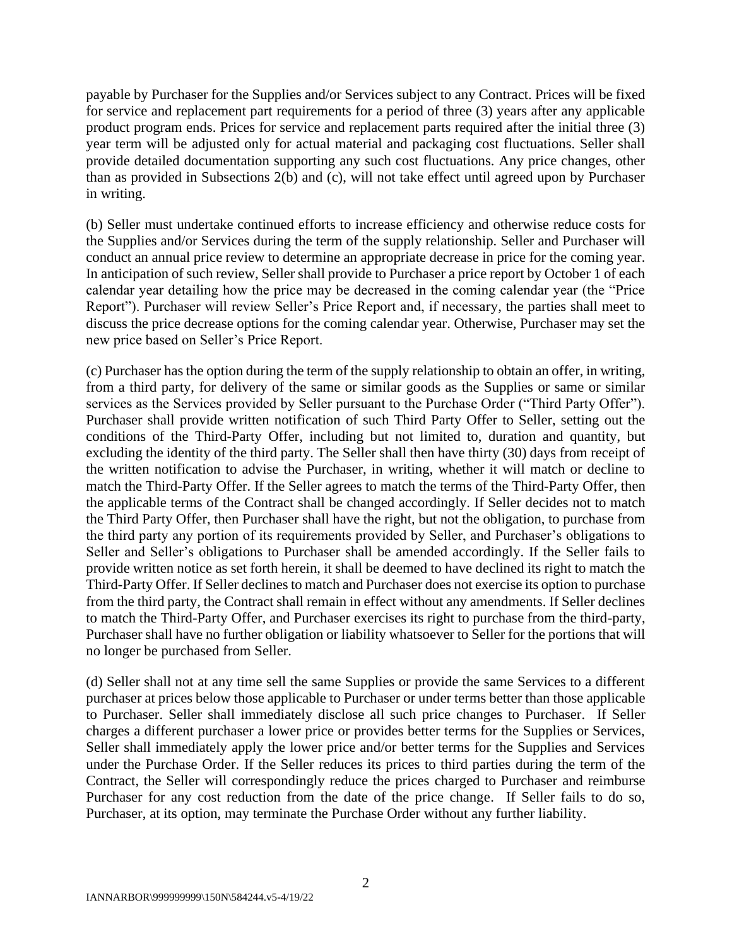payable by Purchaser for the Supplies and/or Services subject to any Contract. Prices will be fixed for service and replacement part requirements for a period of three (3) years after any applicable product program ends. Prices for service and replacement parts required after the initial three (3) year term will be adjusted only for actual material and packaging cost fluctuations. Seller shall provide detailed documentation supporting any such cost fluctuations. Any price changes, other than as provided in Subsections 2(b) and (c), will not take effect until agreed upon by Purchaser in writing.

(b) Seller must undertake continued efforts to increase efficiency and otherwise reduce costs for the Supplies and/or Services during the term of the supply relationship. Seller and Purchaser will conduct an annual price review to determine an appropriate decrease in price for the coming year. In anticipation of such review, Seller shall provide to Purchaser a price report by October 1 of each calendar year detailing how the price may be decreased in the coming calendar year (the "Price Report"). Purchaser will review Seller's Price Report and, if necessary, the parties shall meet to discuss the price decrease options for the coming calendar year. Otherwise, Purchaser may set the new price based on Seller's Price Report.

(c) Purchaser has the option during the term of the supply relationship to obtain an offer, in writing, from a third party, for delivery of the same or similar goods as the Supplies or same or similar services as the Services provided by Seller pursuant to the Purchase Order ("Third Party Offer"). Purchaser shall provide written notification of such Third Party Offer to Seller, setting out the conditions of the Third-Party Offer, including but not limited to, duration and quantity, but excluding the identity of the third party. The Seller shall then have thirty (30) days from receipt of the written notification to advise the Purchaser, in writing, whether it will match or decline to match the Third-Party Offer. If the Seller agrees to match the terms of the Third-Party Offer, then the applicable terms of the Contract shall be changed accordingly. If Seller decides not to match the Third Party Offer, then Purchaser shall have the right, but not the obligation, to purchase from the third party any portion of its requirements provided by Seller, and Purchaser's obligations to Seller and Seller's obligations to Purchaser shall be amended accordingly. If the Seller fails to provide written notice as set forth herein, it shall be deemed to have declined its right to match the Third-Party Offer. If Seller declines to match and Purchaser does not exercise its option to purchase from the third party, the Contract shall remain in effect without any amendments. If Seller declines to match the Third-Party Offer, and Purchaser exercises its right to purchase from the third-party, Purchaser shall have no further obligation or liability whatsoever to Seller for the portions that will no longer be purchased from Seller.

(d) Seller shall not at any time sell the same Supplies or provide the same Services to a different purchaser at prices below those applicable to Purchaser or under terms better than those applicable to Purchaser. Seller shall immediately disclose all such price changes to Purchaser. If Seller charges a different purchaser a lower price or provides better terms for the Supplies or Services, Seller shall immediately apply the lower price and/or better terms for the Supplies and Services under the Purchase Order. If the Seller reduces its prices to third parties during the term of the Contract, the Seller will correspondingly reduce the prices charged to Purchaser and reimburse Purchaser for any cost reduction from the date of the price change. If Seller fails to do so, Purchaser, at its option, may terminate the Purchase Order without any further liability.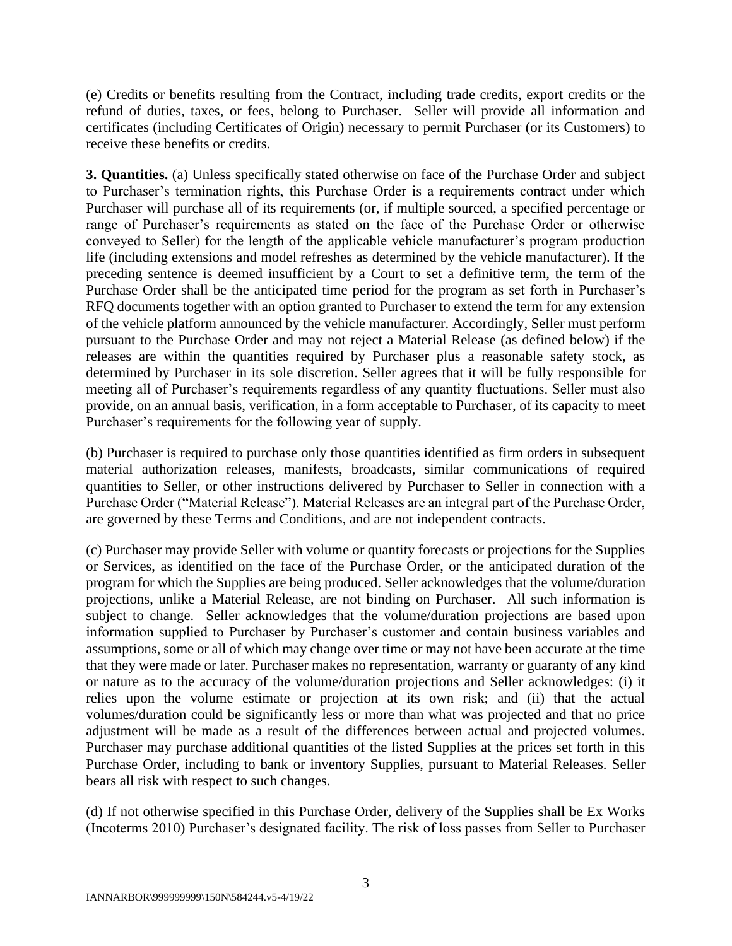(e) Credits or benefits resulting from the Contract, including trade credits, export credits or the refund of duties, taxes, or fees, belong to Purchaser. Seller will provide all information and certificates (including Certificates of Origin) necessary to permit Purchaser (or its Customers) to receive these benefits or credits.

**3. Quantities.** (a) Unless specifically stated otherwise on face of the Purchase Order and subject to Purchaser's termination rights, this Purchase Order is a requirements contract under which Purchaser will purchase all of its requirements (or, if multiple sourced, a specified percentage or range of Purchaser's requirements as stated on the face of the Purchase Order or otherwise conveyed to Seller) for the length of the applicable vehicle manufacturer's program production life (including extensions and model refreshes as determined by the vehicle manufacturer). If the preceding sentence is deemed insufficient by a Court to set a definitive term, the term of the Purchase Order shall be the anticipated time period for the program as set forth in Purchaser's RFQ documents together with an option granted to Purchaser to extend the term for any extension of the vehicle platform announced by the vehicle manufacturer. Accordingly, Seller must perform pursuant to the Purchase Order and may not reject a Material Release (as defined below) if the releases are within the quantities required by Purchaser plus a reasonable safety stock, as determined by Purchaser in its sole discretion. Seller agrees that it will be fully responsible for meeting all of Purchaser's requirements regardless of any quantity fluctuations. Seller must also provide, on an annual basis, verification, in a form acceptable to Purchaser, of its capacity to meet Purchaser's requirements for the following year of supply.

(b) Purchaser is required to purchase only those quantities identified as firm orders in subsequent material authorization releases, manifests, broadcasts, similar communications of required quantities to Seller, or other instructions delivered by Purchaser to Seller in connection with a Purchase Order ("Material Release"). Material Releases are an integral part of the Purchase Order, are governed by these Terms and Conditions, and are not independent contracts.

(c) Purchaser may provide Seller with volume or quantity forecasts or projections for the Supplies or Services, as identified on the face of the Purchase Order, or the anticipated duration of the program for which the Supplies are being produced. Seller acknowledges that the volume/duration projections, unlike a Material Release, are not binding on Purchaser. All such information is subject to change. Seller acknowledges that the volume/duration projections are based upon information supplied to Purchaser by Purchaser's customer and contain business variables and assumptions, some or all of which may change over time or may not have been accurate at the time that they were made or later. Purchaser makes no representation, warranty or guaranty of any kind or nature as to the accuracy of the volume/duration projections and Seller acknowledges: (i) it relies upon the volume estimate or projection at its own risk; and (ii) that the actual volumes/duration could be significantly less or more than what was projected and that no price adjustment will be made as a result of the differences between actual and projected volumes. Purchaser may purchase additional quantities of the listed Supplies at the prices set forth in this Purchase Order, including to bank or inventory Supplies, pursuant to Material Releases. Seller bears all risk with respect to such changes.

(d) If not otherwise specified in this Purchase Order, delivery of the Supplies shall be Ex Works (Incoterms 2010) Purchaser's designated facility. The risk of loss passes from Seller to Purchaser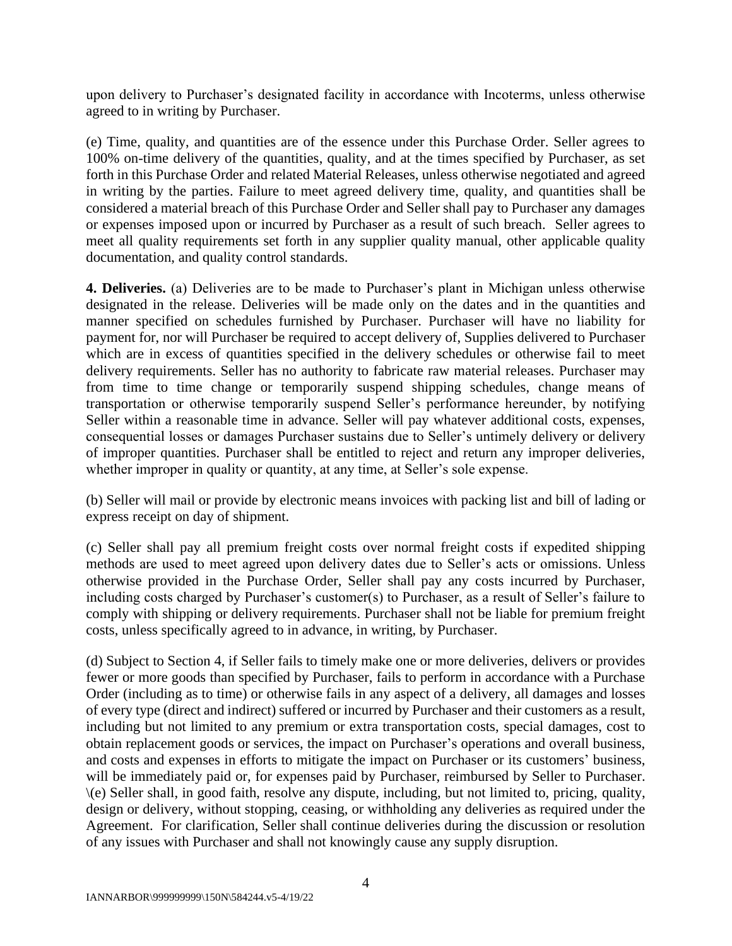upon delivery to Purchaser's designated facility in accordance with Incoterms, unless otherwise agreed to in writing by Purchaser.

(e) Time, quality, and quantities are of the essence under this Purchase Order. Seller agrees to 100% on-time delivery of the quantities, quality, and at the times specified by Purchaser, as set forth in this Purchase Order and related Material Releases, unless otherwise negotiated and agreed in writing by the parties. Failure to meet agreed delivery time, quality, and quantities shall be considered a material breach of this Purchase Order and Seller shall pay to Purchaser any damages or expenses imposed upon or incurred by Purchaser as a result of such breach. Seller agrees to meet all quality requirements set forth in any supplier quality manual, other applicable quality documentation, and quality control standards.

**4. Deliveries.** (a) Deliveries are to be made to Purchaser's plant in Michigan unless otherwise designated in the release. Deliveries will be made only on the dates and in the quantities and manner specified on schedules furnished by Purchaser. Purchaser will have no liability for payment for, nor will Purchaser be required to accept delivery of, Supplies delivered to Purchaser which are in excess of quantities specified in the delivery schedules or otherwise fail to meet delivery requirements. Seller has no authority to fabricate raw material releases. Purchaser may from time to time change or temporarily suspend shipping schedules, change means of transportation or otherwise temporarily suspend Seller's performance hereunder, by notifying Seller within a reasonable time in advance. Seller will pay whatever additional costs, expenses, consequential losses or damages Purchaser sustains due to Seller's untimely delivery or delivery of improper quantities. Purchaser shall be entitled to reject and return any improper deliveries, whether improper in quality or quantity, at any time, at Seller's sole expense.

(b) Seller will mail or provide by electronic means invoices with packing list and bill of lading or express receipt on day of shipment.

(c) Seller shall pay all premium freight costs over normal freight costs if expedited shipping methods are used to meet agreed upon delivery dates due to Seller's acts or omissions. Unless otherwise provided in the Purchase Order, Seller shall pay any costs incurred by Purchaser, including costs charged by Purchaser's customer(s) to Purchaser, as a result of Seller's failure to comply with shipping or delivery requirements. Purchaser shall not be liable for premium freight costs, unless specifically agreed to in advance, in writing, by Purchaser.

(d) Subject to Section 4, if Seller fails to timely make one or more deliveries, delivers or provides fewer or more goods than specified by Purchaser, fails to perform in accordance with a Purchase Order (including as to time) or otherwise fails in any aspect of a delivery, all damages and losses of every type (direct and indirect) suffered or incurred by Purchaser and their customers as a result, including but not limited to any premium or extra transportation costs, special damages, cost to obtain replacement goods or services, the impact on Purchaser's operations and overall business, and costs and expenses in efforts to mitigate the impact on Purchaser or its customers' business, will be immediately paid or, for expenses paid by Purchaser, reimbursed by Seller to Purchaser. \(e) Seller shall, in good faith, resolve any dispute, including, but not limited to, pricing, quality, design or delivery, without stopping, ceasing, or withholding any deliveries as required under the Agreement. For clarification, Seller shall continue deliveries during the discussion or resolution of any issues with Purchaser and shall not knowingly cause any supply disruption.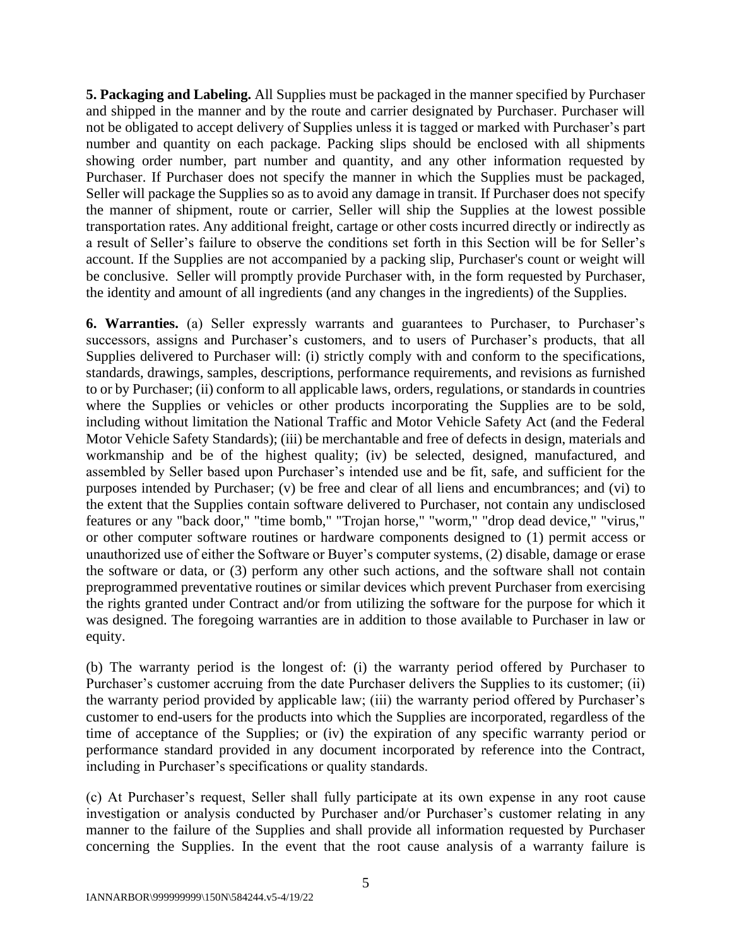**5. Packaging and Labeling.** All Supplies must be packaged in the manner specified by Purchaser and shipped in the manner and by the route and carrier designated by Purchaser. Purchaser will not be obligated to accept delivery of Supplies unless it is tagged or marked with Purchaser's part number and quantity on each package. Packing slips should be enclosed with all shipments showing order number, part number and quantity, and any other information requested by Purchaser. If Purchaser does not specify the manner in which the Supplies must be packaged, Seller will package the Supplies so as to avoid any damage in transit. If Purchaser does not specify the manner of shipment, route or carrier, Seller will ship the Supplies at the lowest possible transportation rates. Any additional freight, cartage or other costs incurred directly or indirectly as a result of Seller's failure to observe the conditions set forth in this Section will be for Seller's account. If the Supplies are not accompanied by a packing slip, Purchaser's count or weight will be conclusive. Seller will promptly provide Purchaser with, in the form requested by Purchaser, the identity and amount of all ingredients (and any changes in the ingredients) of the Supplies.

**6. Warranties.** (a) Seller expressly warrants and guarantees to Purchaser, to Purchaser's successors, assigns and Purchaser's customers, and to users of Purchaser's products, that all Supplies delivered to Purchaser will: (i) strictly comply with and conform to the specifications, standards, drawings, samples, descriptions, performance requirements, and revisions as furnished to or by Purchaser; (ii) conform to all applicable laws, orders, regulations, or standards in countries where the Supplies or vehicles or other products incorporating the Supplies are to be sold, including without limitation the National Traffic and Motor Vehicle Safety Act (and the Federal Motor Vehicle Safety Standards); (iii) be merchantable and free of defects in design, materials and workmanship and be of the highest quality; (iv) be selected, designed, manufactured, and assembled by Seller based upon Purchaser's intended use and be fit, safe, and sufficient for the purposes intended by Purchaser; (v) be free and clear of all liens and encumbrances; and (vi) to the extent that the Supplies contain software delivered to Purchaser, not contain any undisclosed features or any "back door," "time bomb," "Trojan horse," "worm," "drop dead device," "virus," or other computer software routines or hardware components designed to (1) permit access or unauthorized use of either the Software or Buyer's computer systems, (2) disable, damage or erase the software or data, or (3) perform any other such actions, and the software shall not contain preprogrammed preventative routines or similar devices which prevent Purchaser from exercising the rights granted under Contract and/or from utilizing the software for the purpose for which it was designed. The foregoing warranties are in addition to those available to Purchaser in law or equity.

(b) The warranty period is the longest of: (i) the warranty period offered by Purchaser to Purchaser's customer accruing from the date Purchaser delivers the Supplies to its customer; (ii) the warranty period provided by applicable law; (iii) the warranty period offered by Purchaser's customer to end-users for the products into which the Supplies are incorporated, regardless of the time of acceptance of the Supplies; or (iv) the expiration of any specific warranty period or performance standard provided in any document incorporated by reference into the Contract, including in Purchaser's specifications or quality standards.

(c) At Purchaser's request, Seller shall fully participate at its own expense in any root cause investigation or analysis conducted by Purchaser and/or Purchaser's customer relating in any manner to the failure of the Supplies and shall provide all information requested by Purchaser concerning the Supplies. In the event that the root cause analysis of a warranty failure is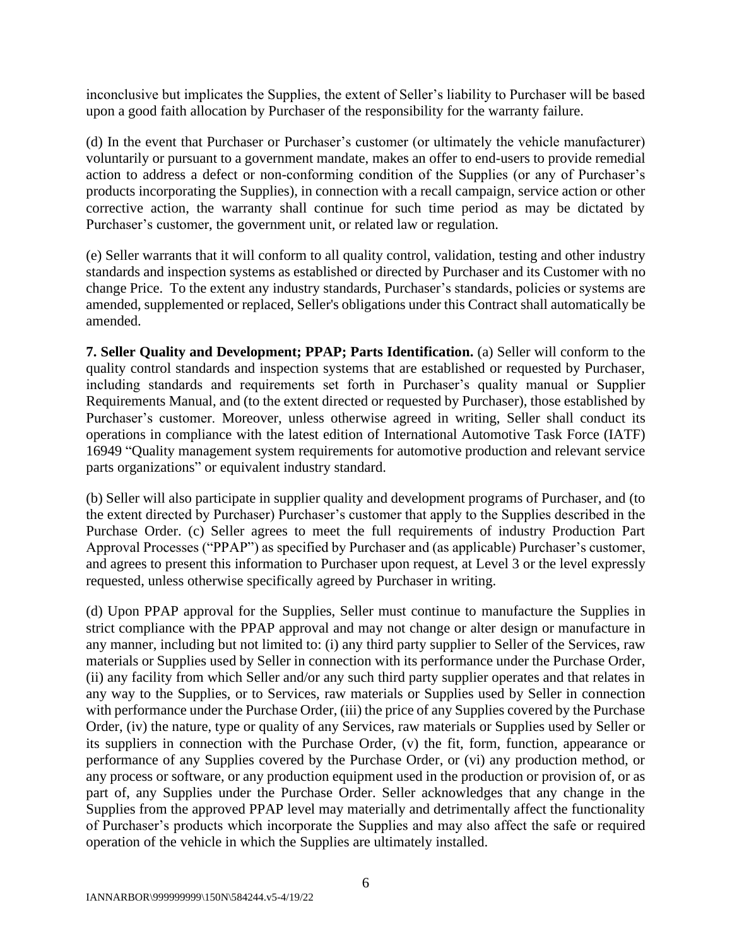inconclusive but implicates the Supplies, the extent of Seller's liability to Purchaser will be based upon a good faith allocation by Purchaser of the responsibility for the warranty failure.

(d) In the event that Purchaser or Purchaser's customer (or ultimately the vehicle manufacturer) voluntarily or pursuant to a government mandate, makes an offer to end-users to provide remedial action to address a defect or non-conforming condition of the Supplies (or any of Purchaser's products incorporating the Supplies), in connection with a recall campaign, service action or other corrective action, the warranty shall continue for such time period as may be dictated by Purchaser's customer, the government unit, or related law or regulation.

(e) Seller warrants that it will conform to all quality control, validation, testing and other industry standards and inspection systems as established or directed by Purchaser and its Customer with no change Price. To the extent any industry standards, Purchaser's standards, policies or systems are amended, supplemented or replaced, Seller's obligations under this Contract shall automatically be amended.

**7. Seller Quality and Development; PPAP; Parts Identification.** (a) Seller will conform to the quality control standards and inspection systems that are established or requested by Purchaser, including standards and requirements set forth in Purchaser's quality manual or Supplier Requirements Manual, and (to the extent directed or requested by Purchaser), those established by Purchaser's customer. Moreover, unless otherwise agreed in writing, Seller shall conduct its operations in compliance with the latest edition of International Automotive Task Force (IATF) 16949 "Quality management system requirements for automotive production and relevant service parts organizations" or equivalent industry standard.

(b) Seller will also participate in supplier quality and development programs of Purchaser, and (to the extent directed by Purchaser) Purchaser's customer that apply to the Supplies described in the Purchase Order. (c) Seller agrees to meet the full requirements of industry Production Part Approval Processes ("PPAP") as specified by Purchaser and (as applicable) Purchaser's customer, and agrees to present this information to Purchaser upon request, at Level 3 or the level expressly requested, unless otherwise specifically agreed by Purchaser in writing.

(d) Upon PPAP approval for the Supplies, Seller must continue to manufacture the Supplies in strict compliance with the PPAP approval and may not change or alter design or manufacture in any manner, including but not limited to: (i) any third party supplier to Seller of the Services, raw materials or Supplies used by Seller in connection with its performance under the Purchase Order, (ii) any facility from which Seller and/or any such third party supplier operates and that relates in any way to the Supplies, or to Services, raw materials or Supplies used by Seller in connection with performance under the Purchase Order, (iii) the price of any Supplies covered by the Purchase Order, (iv) the nature, type or quality of any Services, raw materials or Supplies used by Seller or its suppliers in connection with the Purchase Order, (v) the fit, form, function, appearance or performance of any Supplies covered by the Purchase Order, or (vi) any production method, or any process or software, or any production equipment used in the production or provision of, or as part of, any Supplies under the Purchase Order. Seller acknowledges that any change in the Supplies from the approved PPAP level may materially and detrimentally affect the functionality of Purchaser's products which incorporate the Supplies and may also affect the safe or required operation of the vehicle in which the Supplies are ultimately installed.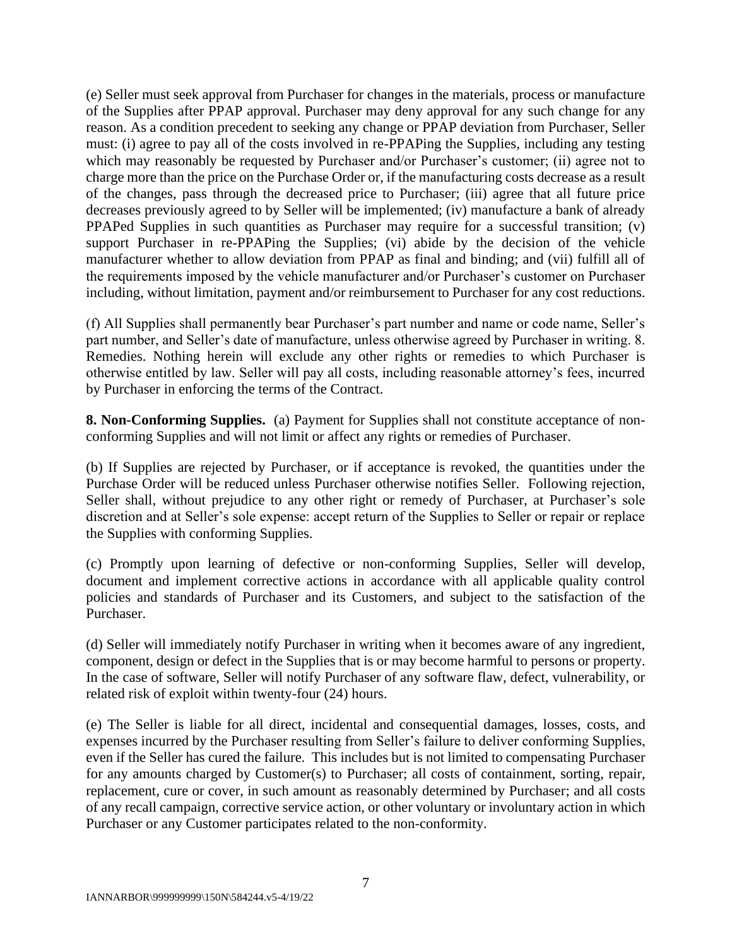(e) Seller must seek approval from Purchaser for changes in the materials, process or manufacture of the Supplies after PPAP approval. Purchaser may deny approval for any such change for any reason. As a condition precedent to seeking any change or PPAP deviation from Purchaser, Seller must: (i) agree to pay all of the costs involved in re-PPAPing the Supplies, including any testing which may reasonably be requested by Purchaser and/or Purchaser's customer; (ii) agree not to charge more than the price on the Purchase Order or, if the manufacturing costs decrease as a result of the changes, pass through the decreased price to Purchaser; (iii) agree that all future price decreases previously agreed to by Seller will be implemented; (iv) manufacture a bank of already PPAPed Supplies in such quantities as Purchaser may require for a successful transition; (v) support Purchaser in re-PPAPing the Supplies; (vi) abide by the decision of the vehicle manufacturer whether to allow deviation from PPAP as final and binding; and (vii) fulfill all of the requirements imposed by the vehicle manufacturer and/or Purchaser's customer on Purchaser including, without limitation, payment and/or reimbursement to Purchaser for any cost reductions.

(f) All Supplies shall permanently bear Purchaser's part number and name or code name, Seller's part number, and Seller's date of manufacture, unless otherwise agreed by Purchaser in writing. 8. Remedies. Nothing herein will exclude any other rights or remedies to which Purchaser is otherwise entitled by law. Seller will pay all costs, including reasonable attorney's fees, incurred by Purchaser in enforcing the terms of the Contract.

**8. Non-Conforming Supplies.** (a) Payment for Supplies shall not constitute acceptance of nonconforming Supplies and will not limit or affect any rights or remedies of Purchaser.

(b) If Supplies are rejected by Purchaser, or if acceptance is revoked, the quantities under the Purchase Order will be reduced unless Purchaser otherwise notifies Seller. Following rejection, Seller shall, without prejudice to any other right or remedy of Purchaser, at Purchaser's sole discretion and at Seller's sole expense: accept return of the Supplies to Seller or repair or replace the Supplies with conforming Supplies.

(c) Promptly upon learning of defective or non-conforming Supplies, Seller will develop, document and implement corrective actions in accordance with all applicable quality control policies and standards of Purchaser and its Customers, and subject to the satisfaction of the Purchaser.

(d) Seller will immediately notify Purchaser in writing when it becomes aware of any ingredient, component, design or defect in the Supplies that is or may become harmful to persons or property. In the case of software, Seller will notify Purchaser of any software flaw, defect, vulnerability, or related risk of exploit within twenty-four (24) hours.

(e) The Seller is liable for all direct, incidental and consequential damages, losses, costs, and expenses incurred by the Purchaser resulting from Seller's failure to deliver conforming Supplies, even if the Seller has cured the failure. This includes but is not limited to compensating Purchaser for any amounts charged by Customer(s) to Purchaser; all costs of containment, sorting, repair, replacement, cure or cover, in such amount as reasonably determined by Purchaser; and all costs of any recall campaign, corrective service action, or other voluntary or involuntary action in which Purchaser or any Customer participates related to the non-conformity.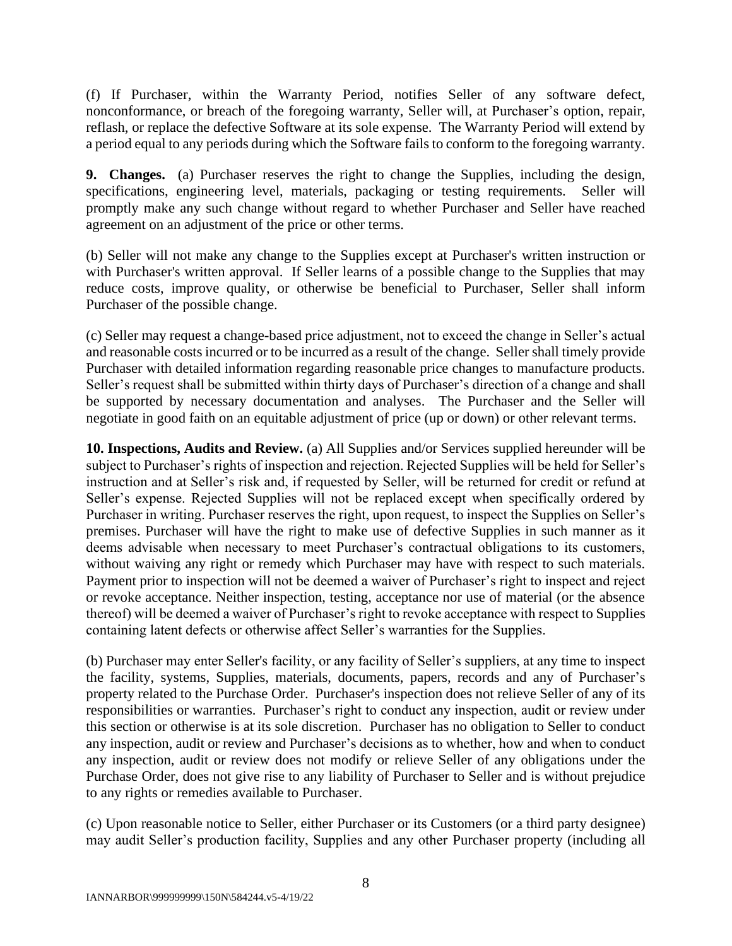(f) If Purchaser, within the Warranty Period, notifies Seller of any software defect, nonconformance, or breach of the foregoing warranty, Seller will, at Purchaser's option, repair, reflash, or replace the defective Software at its sole expense. The Warranty Period will extend by a period equal to any periods during which the Software fails to conform to the foregoing warranty.

**9. Changes.** (a) Purchaser reserves the right to change the Supplies, including the design, specifications, engineering level, materials, packaging or testing requirements. Seller will promptly make any such change without regard to whether Purchaser and Seller have reached agreement on an adjustment of the price or other terms.

(b) Seller will not make any change to the Supplies except at Purchaser's written instruction or with Purchaser's written approval. If Seller learns of a possible change to the Supplies that may reduce costs, improve quality, or otherwise be beneficial to Purchaser, Seller shall inform Purchaser of the possible change.

(c) Seller may request a change-based price adjustment, not to exceed the change in Seller's actual and reasonable costs incurred or to be incurred as a result of the change. Seller shall timely provide Purchaser with detailed information regarding reasonable price changes to manufacture products. Seller's request shall be submitted within thirty days of Purchaser's direction of a change and shall be supported by necessary documentation and analyses. The Purchaser and the Seller will negotiate in good faith on an equitable adjustment of price (up or down) or other relevant terms.

**10. Inspections, Audits and Review.** (a) All Supplies and/or Services supplied hereunder will be subject to Purchaser's rights of inspection and rejection. Rejected Supplies will be held for Seller's instruction and at Seller's risk and, if requested by Seller, will be returned for credit or refund at Seller's expense. Rejected Supplies will not be replaced except when specifically ordered by Purchaser in writing. Purchaser reserves the right, upon request, to inspect the Supplies on Seller's premises. Purchaser will have the right to make use of defective Supplies in such manner as it deems advisable when necessary to meet Purchaser's contractual obligations to its customers, without waiving any right or remedy which Purchaser may have with respect to such materials. Payment prior to inspection will not be deemed a waiver of Purchaser's right to inspect and reject or revoke acceptance. Neither inspection, testing, acceptance nor use of material (or the absence thereof) will be deemed a waiver of Purchaser's right to revoke acceptance with respect to Supplies containing latent defects or otherwise affect Seller's warranties for the Supplies.

(b) Purchaser may enter Seller's facility, or any facility of Seller's suppliers, at any time to inspect the facility, systems, Supplies, materials, documents, papers, records and any of Purchaser's property related to the Purchase Order. Purchaser's inspection does not relieve Seller of any of its responsibilities or warranties. Purchaser's right to conduct any inspection, audit or review under this section or otherwise is at its sole discretion. Purchaser has no obligation to Seller to conduct any inspection, audit or review and Purchaser's decisions as to whether, how and when to conduct any inspection, audit or review does not modify or relieve Seller of any obligations under the Purchase Order, does not give rise to any liability of Purchaser to Seller and is without prejudice to any rights or remedies available to Purchaser.

(c) Upon reasonable notice to Seller, either Purchaser or its Customers (or a third party designee) may audit Seller's production facility, Supplies and any other Purchaser property (including all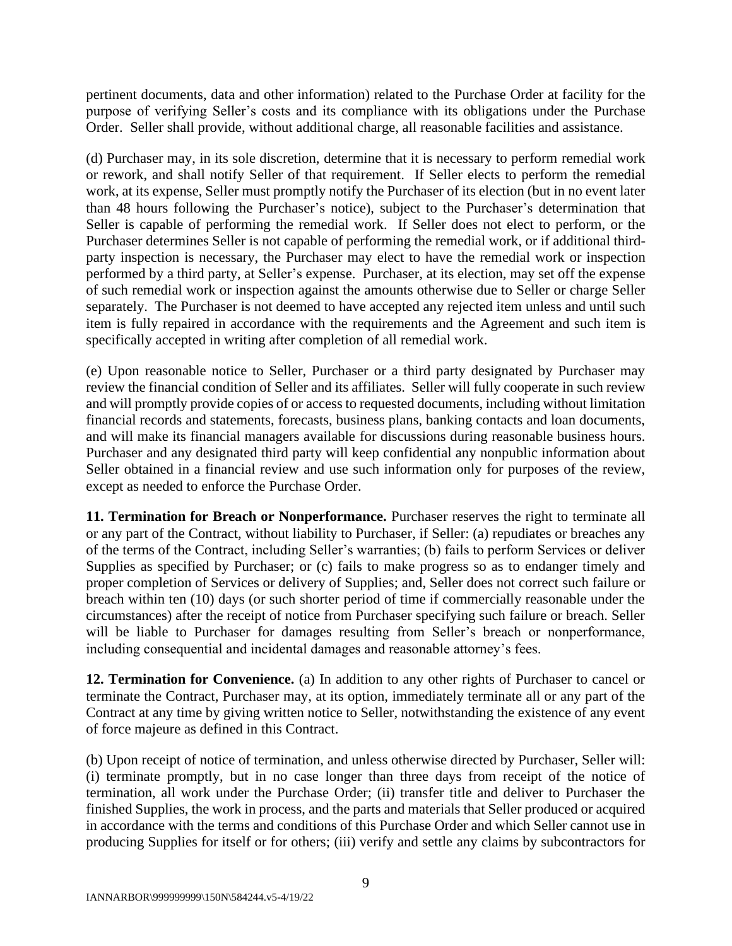pertinent documents, data and other information) related to the Purchase Order at facility for the purpose of verifying Seller's costs and its compliance with its obligations under the Purchase Order. Seller shall provide, without additional charge, all reasonable facilities and assistance.

(d) Purchaser may, in its sole discretion, determine that it is necessary to perform remedial work or rework, and shall notify Seller of that requirement. If Seller elects to perform the remedial work, at its expense, Seller must promptly notify the Purchaser of its election (but in no event later than 48 hours following the Purchaser's notice), subject to the Purchaser's determination that Seller is capable of performing the remedial work. If Seller does not elect to perform, or the Purchaser determines Seller is not capable of performing the remedial work, or if additional thirdparty inspection is necessary, the Purchaser may elect to have the remedial work or inspection performed by a third party, at Seller's expense. Purchaser, at its election, may set off the expense of such remedial work or inspection against the amounts otherwise due to Seller or charge Seller separately. The Purchaser is not deemed to have accepted any rejected item unless and until such item is fully repaired in accordance with the requirements and the Agreement and such item is specifically accepted in writing after completion of all remedial work.

(e) Upon reasonable notice to Seller, Purchaser or a third party designated by Purchaser may review the financial condition of Seller and its affiliates. Seller will fully cooperate in such review and will promptly provide copies of or access to requested documents, including without limitation financial records and statements, forecasts, business plans, banking contacts and loan documents, and will make its financial managers available for discussions during reasonable business hours. Purchaser and any designated third party will keep confidential any nonpublic information about Seller obtained in a financial review and use such information only for purposes of the review, except as needed to enforce the Purchase Order.

**11. Termination for Breach or Nonperformance.** Purchaser reserves the right to terminate all or any part of the Contract, without liability to Purchaser, if Seller: (a) repudiates or breaches any of the terms of the Contract, including Seller's warranties; (b) fails to perform Services or deliver Supplies as specified by Purchaser; or (c) fails to make progress so as to endanger timely and proper completion of Services or delivery of Supplies; and, Seller does not correct such failure or breach within ten (10) days (or such shorter period of time if commercially reasonable under the circumstances) after the receipt of notice from Purchaser specifying such failure or breach. Seller will be liable to Purchaser for damages resulting from Seller's breach or nonperformance, including consequential and incidental damages and reasonable attorney's fees.

**12. Termination for Convenience.** (a) In addition to any other rights of Purchaser to cancel or terminate the Contract, Purchaser may, at its option, immediately terminate all or any part of the Contract at any time by giving written notice to Seller, notwithstanding the existence of any event of force majeure as defined in this Contract.

(b) Upon receipt of notice of termination, and unless otherwise directed by Purchaser, Seller will: (i) terminate promptly, but in no case longer than three days from receipt of the notice of termination, all work under the Purchase Order; (ii) transfer title and deliver to Purchaser the finished Supplies, the work in process, and the parts and materials that Seller produced or acquired in accordance with the terms and conditions of this Purchase Order and which Seller cannot use in producing Supplies for itself or for others; (iii) verify and settle any claims by subcontractors for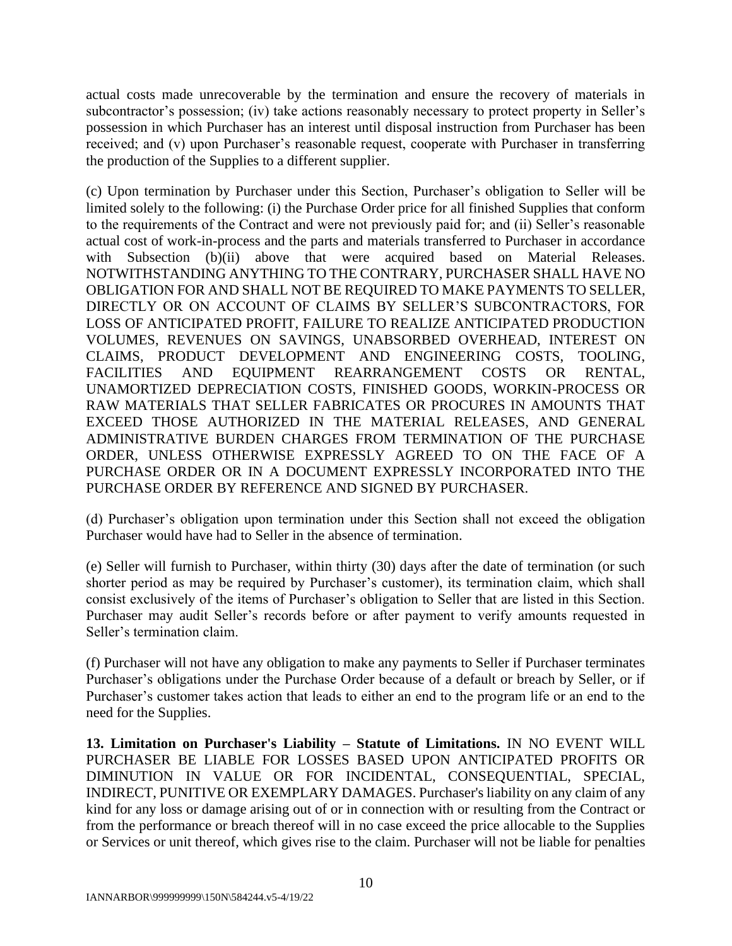actual costs made unrecoverable by the termination and ensure the recovery of materials in subcontractor's possession; (iv) take actions reasonably necessary to protect property in Seller's possession in which Purchaser has an interest until disposal instruction from Purchaser has been received; and (v) upon Purchaser's reasonable request, cooperate with Purchaser in transferring the production of the Supplies to a different supplier.

(c) Upon termination by Purchaser under this Section, Purchaser's obligation to Seller will be limited solely to the following: (i) the Purchase Order price for all finished Supplies that conform to the requirements of the Contract and were not previously paid for; and (ii) Seller's reasonable actual cost of work-in-process and the parts and materials transferred to Purchaser in accordance with Subsection (b)(ii) above that were acquired based on Material Releases. NOTWITHSTANDING ANYTHING TO THE CONTRARY, PURCHASER SHALL HAVE NO OBLIGATION FOR AND SHALL NOT BE REQUIRED TO MAKE PAYMENTS TO SELLER, DIRECTLY OR ON ACCOUNT OF CLAIMS BY SELLER'S SUBCONTRACTORS, FOR LOSS OF ANTICIPATED PROFIT, FAILURE TO REALIZE ANTICIPATED PRODUCTION VOLUMES, REVENUES ON SAVINGS, UNABSORBED OVERHEAD, INTEREST ON CLAIMS, PRODUCT DEVELOPMENT AND ENGINEERING COSTS, TOOLING, FACILITIES AND EQUIPMENT REARRANGEMENT COSTS OR RENTAL, UNAMORTIZED DEPRECIATION COSTS, FINISHED GOODS, WORKIN-PROCESS OR RAW MATERIALS THAT SELLER FABRICATES OR PROCURES IN AMOUNTS THAT EXCEED THOSE AUTHORIZED IN THE MATERIAL RELEASES, AND GENERAL ADMINISTRATIVE BURDEN CHARGES FROM TERMINATION OF THE PURCHASE ORDER, UNLESS OTHERWISE EXPRESSLY AGREED TO ON THE FACE OF A PURCHASE ORDER OR IN A DOCUMENT EXPRESSLY INCORPORATED INTO THE PURCHASE ORDER BY REFERENCE AND SIGNED BY PURCHASER.

(d) Purchaser's obligation upon termination under this Section shall not exceed the obligation Purchaser would have had to Seller in the absence of termination.

(e) Seller will furnish to Purchaser, within thirty (30) days after the date of termination (or such shorter period as may be required by Purchaser's customer), its termination claim, which shall consist exclusively of the items of Purchaser's obligation to Seller that are listed in this Section. Purchaser may audit Seller's records before or after payment to verify amounts requested in Seller's termination claim.

(f) Purchaser will not have any obligation to make any payments to Seller if Purchaser terminates Purchaser's obligations under the Purchase Order because of a default or breach by Seller, or if Purchaser's customer takes action that leads to either an end to the program life or an end to the need for the Supplies.

**13. Limitation on Purchaser's Liability – Statute of Limitations.** IN NO EVENT WILL PURCHASER BE LIABLE FOR LOSSES BASED UPON ANTICIPATED PROFITS OR DIMINUTION IN VALUE OR FOR INCIDENTAL, CONSEQUENTIAL, SPECIAL, INDIRECT, PUNITIVE OR EXEMPLARY DAMAGES. Purchaser's liability on any claim of any kind for any loss or damage arising out of or in connection with or resulting from the Contract or from the performance or breach thereof will in no case exceed the price allocable to the Supplies or Services or unit thereof, which gives rise to the claim. Purchaser will not be liable for penalties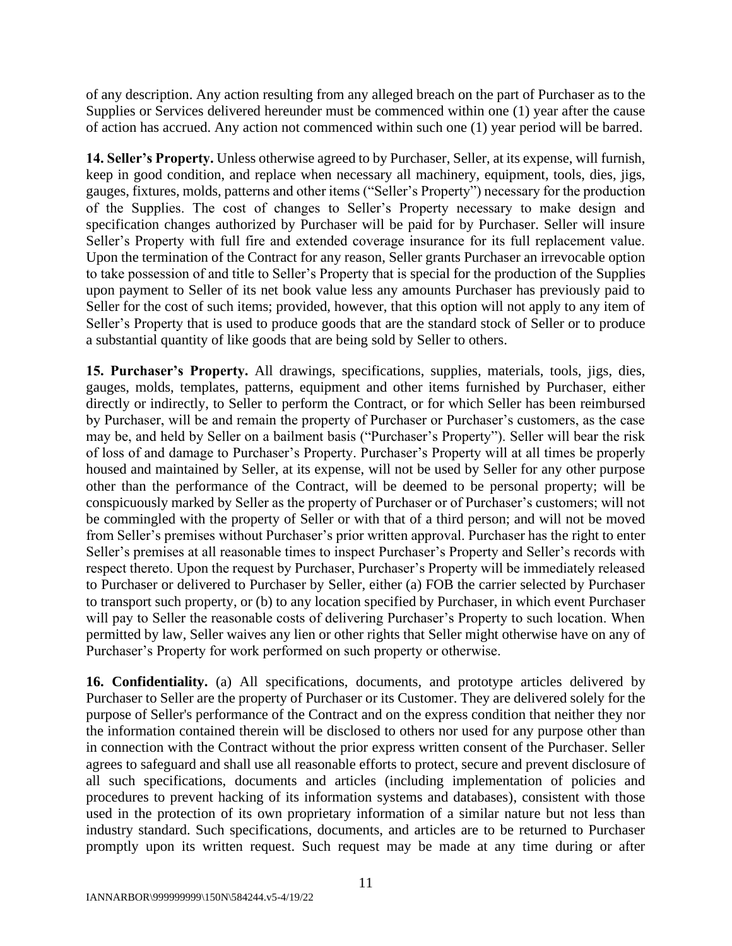of any description. Any action resulting from any alleged breach on the part of Purchaser as to the Supplies or Services delivered hereunder must be commenced within one (1) year after the cause of action has accrued. Any action not commenced within such one (1) year period will be barred.

**14. Seller's Property.** Unless otherwise agreed to by Purchaser, Seller, at its expense, will furnish, keep in good condition, and replace when necessary all machinery, equipment, tools, dies, jigs, gauges, fixtures, molds, patterns and other items ("Seller's Property") necessary for the production of the Supplies. The cost of changes to Seller's Property necessary to make design and specification changes authorized by Purchaser will be paid for by Purchaser. Seller will insure Seller's Property with full fire and extended coverage insurance for its full replacement value. Upon the termination of the Contract for any reason, Seller grants Purchaser an irrevocable option to take possession of and title to Seller's Property that is special for the production of the Supplies upon payment to Seller of its net book value less any amounts Purchaser has previously paid to Seller for the cost of such items; provided, however, that this option will not apply to any item of Seller's Property that is used to produce goods that are the standard stock of Seller or to produce a substantial quantity of like goods that are being sold by Seller to others.

**15. Purchaser's Property.** All drawings, specifications, supplies, materials, tools, jigs, dies, gauges, molds, templates, patterns, equipment and other items furnished by Purchaser, either directly or indirectly, to Seller to perform the Contract, or for which Seller has been reimbursed by Purchaser, will be and remain the property of Purchaser or Purchaser's customers, as the case may be, and held by Seller on a bailment basis ("Purchaser's Property"). Seller will bear the risk of loss of and damage to Purchaser's Property. Purchaser's Property will at all times be properly housed and maintained by Seller, at its expense, will not be used by Seller for any other purpose other than the performance of the Contract, will be deemed to be personal property; will be conspicuously marked by Seller as the property of Purchaser or of Purchaser's customers; will not be commingled with the property of Seller or with that of a third person; and will not be moved from Seller's premises without Purchaser's prior written approval. Purchaser has the right to enter Seller's premises at all reasonable times to inspect Purchaser's Property and Seller's records with respect thereto. Upon the request by Purchaser, Purchaser's Property will be immediately released to Purchaser or delivered to Purchaser by Seller, either (a) FOB the carrier selected by Purchaser to transport such property, or (b) to any location specified by Purchaser, in which event Purchaser will pay to Seller the reasonable costs of delivering Purchaser's Property to such location. When permitted by law, Seller waives any lien or other rights that Seller might otherwise have on any of Purchaser's Property for work performed on such property or otherwise.

**16. Confidentiality.** (a) All specifications, documents, and prototype articles delivered by Purchaser to Seller are the property of Purchaser or its Customer. They are delivered solely for the purpose of Seller's performance of the Contract and on the express condition that neither they nor the information contained therein will be disclosed to others nor used for any purpose other than in connection with the Contract without the prior express written consent of the Purchaser. Seller agrees to safeguard and shall use all reasonable efforts to protect, secure and prevent disclosure of all such specifications, documents and articles (including implementation of policies and procedures to prevent hacking of its information systems and databases), consistent with those used in the protection of its own proprietary information of a similar nature but not less than industry standard. Such specifications, documents, and articles are to be returned to Purchaser promptly upon its written request. Such request may be made at any time during or after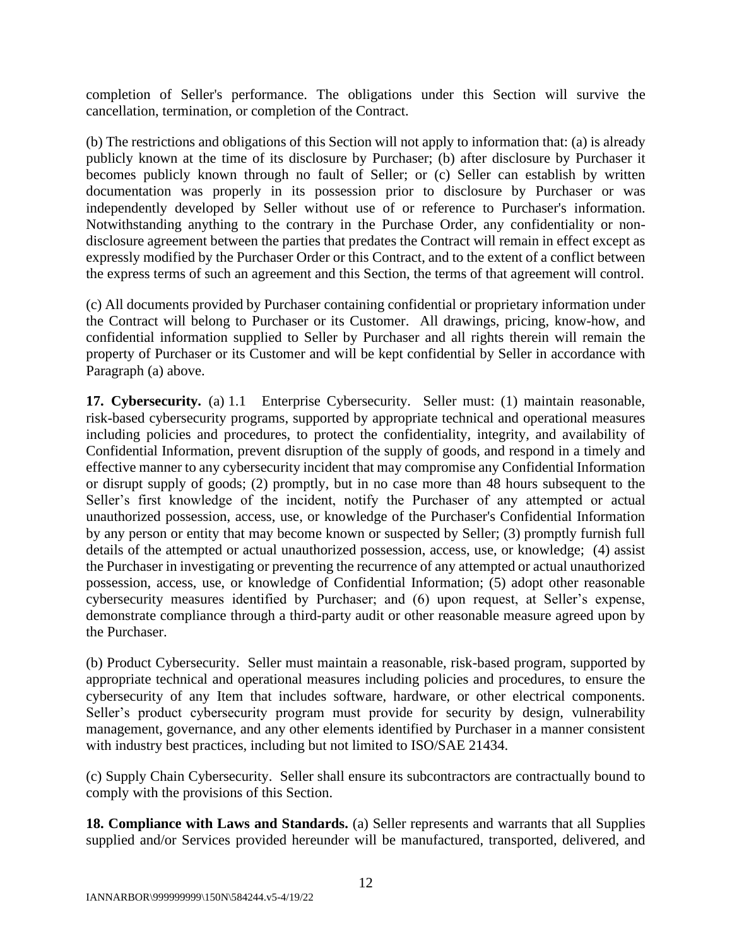completion of Seller's performance. The obligations under this Section will survive the cancellation, termination, or completion of the Contract.

(b) The restrictions and obligations of this Section will not apply to information that: (a) is already publicly known at the time of its disclosure by Purchaser; (b) after disclosure by Purchaser it becomes publicly known through no fault of Seller; or (c) Seller can establish by written documentation was properly in its possession prior to disclosure by Purchaser or was independently developed by Seller without use of or reference to Purchaser's information. Notwithstanding anything to the contrary in the Purchase Order, any confidentiality or nondisclosure agreement between the parties that predates the Contract will remain in effect except as expressly modified by the Purchaser Order or this Contract, and to the extent of a conflict between the express terms of such an agreement and this Section, the terms of that agreement will control.

(c) All documents provided by Purchaser containing confidential or proprietary information under the Contract will belong to Purchaser or its Customer. All drawings, pricing, know-how, and confidential information supplied to Seller by Purchaser and all rights therein will remain the property of Purchaser or its Customer and will be kept confidential by Seller in accordance with Paragraph (a) above.

**17. Cybersecurity.** (a) 1.1 Enterprise Cybersecurity. Seller must: (1) maintain reasonable, risk-based cybersecurity programs, supported by appropriate technical and operational measures including policies and procedures, to protect the confidentiality, integrity, and availability of Confidential Information, prevent disruption of the supply of goods, and respond in a timely and effective manner to any cybersecurity incident that may compromise any Confidential Information or disrupt supply of goods; (2) promptly, but in no case more than 48 hours subsequent to the Seller's first knowledge of the incident, notify the Purchaser of any attempted or actual unauthorized possession, access, use, or knowledge of the Purchaser's Confidential Information by any person or entity that may become known or suspected by Seller; (3) promptly furnish full details of the attempted or actual unauthorized possession, access, use, or knowledge; (4) assist the Purchaser in investigating or preventing the recurrence of any attempted or actual unauthorized possession, access, use, or knowledge of Confidential Information; (5) adopt other reasonable cybersecurity measures identified by Purchaser; and (6) upon request, at Seller's expense, demonstrate compliance through a third-party audit or other reasonable measure agreed upon by the Purchaser.

(b) Product Cybersecurity. Seller must maintain a reasonable, risk-based program, supported by appropriate technical and operational measures including policies and procedures, to ensure the cybersecurity of any Item that includes software, hardware, or other electrical components. Seller's product cybersecurity program must provide for security by design, vulnerability management, governance, and any other elements identified by Purchaser in a manner consistent with industry best practices, including but not limited to ISO/SAE 21434.

(c) Supply Chain Cybersecurity. Seller shall ensure its subcontractors are contractually bound to comply with the provisions of this Section.

**18. Compliance with Laws and Standards.** (a) Seller represents and warrants that all Supplies supplied and/or Services provided hereunder will be manufactured, transported, delivered, and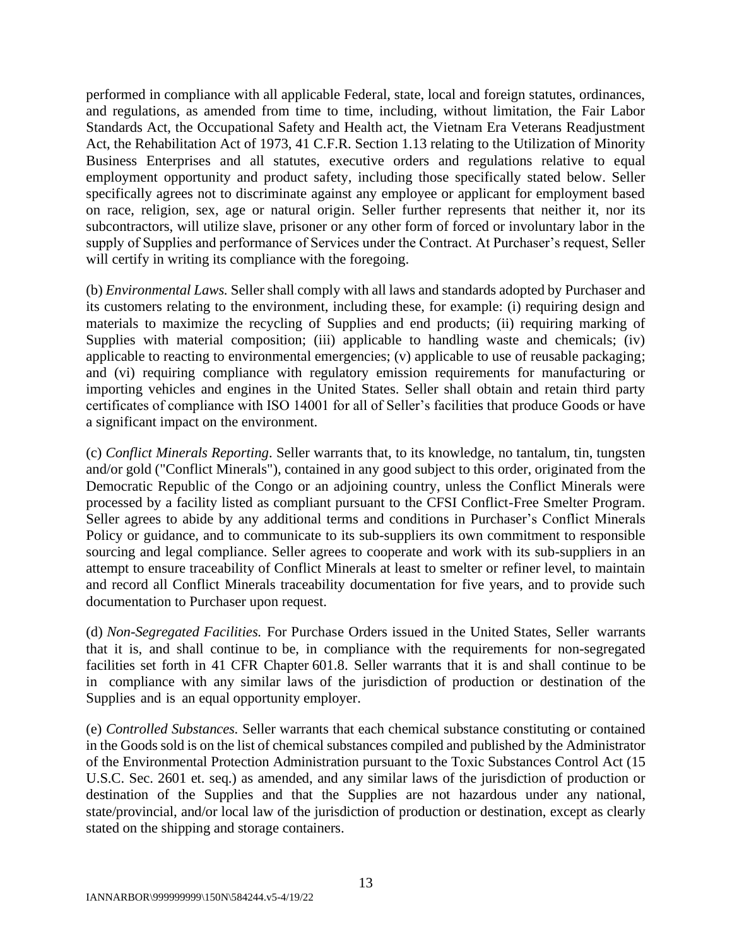performed in compliance with all applicable Federal, state, local and foreign statutes, ordinances, and regulations, as amended from time to time, including, without limitation, the Fair Labor Standards Act, the Occupational Safety and Health act, the Vietnam Era Veterans Readjustment Act, the Rehabilitation Act of 1973, 41 C.F.R. Section 1.13 relating to the Utilization of Minority Business Enterprises and all statutes, executive orders and regulations relative to equal employment opportunity and product safety, including those specifically stated below. Seller specifically agrees not to discriminate against any employee or applicant for employment based on race, religion, sex, age or natural origin. Seller further represents that neither it, nor its subcontractors, will utilize slave, prisoner or any other form of forced or involuntary labor in the supply of Supplies and performance of Services under the Contract. At Purchaser's request, Seller will certify in writing its compliance with the foregoing.

(b) *Environmental Laws.* Seller shall comply with all laws and standards adopted by Purchaser and its customers relating to the environment, including these, for example: (i) requiring design and materials to maximize the recycling of Supplies and end products; (ii) requiring marking of Supplies with material composition; (iii) applicable to handling waste and chemicals; (iv) applicable to reacting to environmental emergencies; (v) applicable to use of reusable packaging; and (vi) requiring compliance with regulatory emission requirements for manufacturing or importing vehicles and engines in the United States. Seller shall obtain and retain third party certificates of compliance with ISO 14001 for all of Seller's facilities that produce Goods or have a significant impact on the environment.

(c) *Conflict Minerals Reporting*. Seller warrants that, to its knowledge, no tantalum, tin, tungsten and/or gold ("Conflict Minerals"), contained in any good subject to this order, originated from the Democratic Republic of the Congo or an adjoining country, unless the Conflict Minerals were processed by a facility listed as compliant pursuant to the CFSI Conflict-Free Smelter Program. Seller agrees to abide by any additional terms and conditions in Purchaser's Conflict Minerals Policy or guidance, and to communicate to its sub-suppliers its own commitment to responsible sourcing and legal compliance. Seller agrees to cooperate and work with its sub-suppliers in an attempt to ensure traceability of Conflict Minerals at least to smelter or refiner level, to maintain and record all Conflict Minerals traceability documentation for five years, and to provide such documentation to Purchaser upon request.

(d) *Non-Segregated Facilities.* For Purchase Orders issued in the United States, Seller warrants that it is, and shall continue to be, in compliance with the requirements for non-segregated facilities set forth in 41 CFR Chapter 601.8. Seller warrants that it is and shall continue to be in compliance with any similar laws of the jurisdiction of production or destination of the Supplies and is an equal opportunity employer.

(e) *Controlled Substances.* Seller warrants that each chemical substance constituting or contained in the Goods sold is on the list of chemical substances compiled and published by the Administrator of the Environmental Protection Administration pursuant to the Toxic Substances Control Act (15 U.S.C. Sec. 2601 et. seq.) as amended, and any similar laws of the jurisdiction of production or destination of the Supplies and that the Supplies are not hazardous under any national, state/provincial, and/or local law of the jurisdiction of production or destination, except as clearly stated on the shipping and storage containers.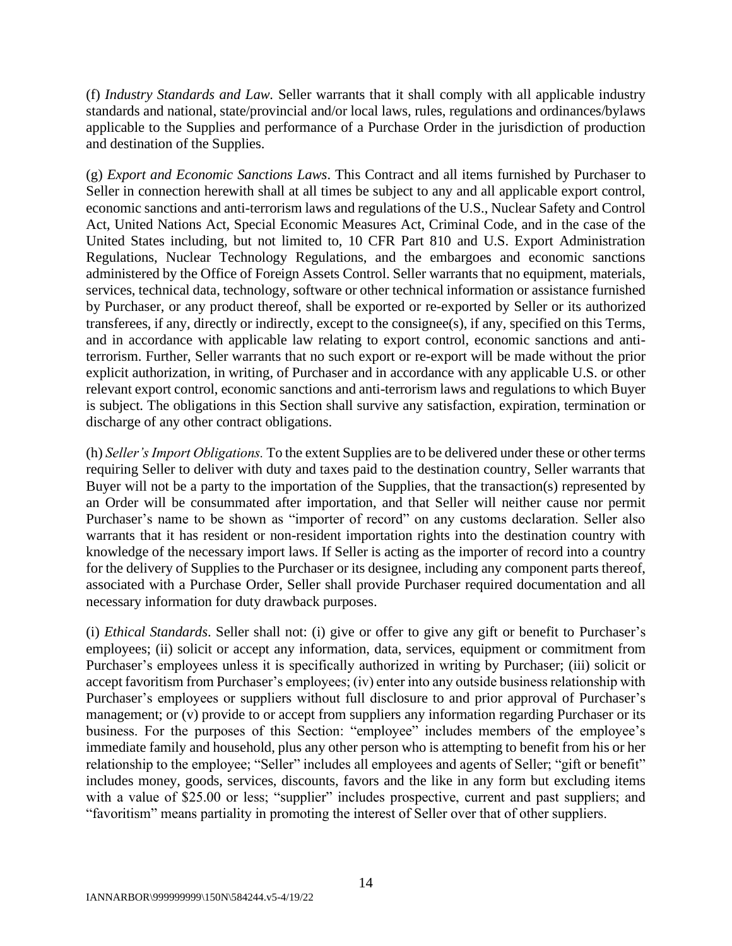(f) *Industry Standards and Law.* Seller warrants that it shall comply with all applicable industry standards and national, state/provincial and/or local laws, rules, regulations and ordinances/bylaws applicable to the Supplies and performance of a Purchase Order in the jurisdiction of production and destination of the Supplies.

(g) *Export and Economic Sanctions Laws*. This Contract and all items furnished by Purchaser to Seller in connection herewith shall at all times be subject to any and all applicable export control, economic sanctions and anti-terrorism laws and regulations of the U.S., Nuclear Safety and Control Act, United Nations Act, Special Economic Measures Act, Criminal Code, and in the case of the United States including, but not limited to, 10 CFR Part 810 and U.S. Export Administration Regulations, Nuclear Technology Regulations, and the embargoes and economic sanctions administered by the Office of Foreign Assets Control. Seller warrants that no equipment, materials, services, technical data, technology, software or other technical information or assistance furnished by Purchaser, or any product thereof, shall be exported or re-exported by Seller or its authorized transferees, if any, directly or indirectly, except to the consignee(s), if any, specified on this Terms, and in accordance with applicable law relating to export control, economic sanctions and antiterrorism. Further, Seller warrants that no such export or re-export will be made without the prior explicit authorization, in writing, of Purchaser and in accordance with any applicable U.S. or other relevant export control, economic sanctions and anti-terrorism laws and regulations to which Buyer is subject. The obligations in this Section shall survive any satisfaction, expiration, termination or discharge of any other contract obligations.

(h) *Seller's Import Obligations.* To the extent Supplies are to be delivered under these or other terms requiring Seller to deliver with duty and taxes paid to the destination country, Seller warrants that Buyer will not be a party to the importation of the Supplies, that the transaction(s) represented by an Order will be consummated after importation, and that Seller will neither cause nor permit Purchaser's name to be shown as "importer of record" on any customs declaration. Seller also warrants that it has resident or non-resident importation rights into the destination country with knowledge of the necessary import laws. If Seller is acting as the importer of record into a country for the delivery of Supplies to the Purchaser or its designee, including any component parts thereof, associated with a Purchase Order, Seller shall provide Purchaser required documentation and all necessary information for duty drawback purposes.

(i) *Ethical Standards*. Seller shall not: (i) give or offer to give any gift or benefit to Purchaser's employees; (ii) solicit or accept any information, data, services, equipment or commitment from Purchaser's employees unless it is specifically authorized in writing by Purchaser; (iii) solicit or accept favoritism from Purchaser's employees; (iv) enter into any outside business relationship with Purchaser's employees or suppliers without full disclosure to and prior approval of Purchaser's management; or (v) provide to or accept from suppliers any information regarding Purchaser or its business. For the purposes of this Section: "employee" includes members of the employee's immediate family and household, plus any other person who is attempting to benefit from his or her relationship to the employee; "Seller" includes all employees and agents of Seller; "gift or benefit" includes money, goods, services, discounts, favors and the like in any form but excluding items with a value of \$25.00 or less; "supplier" includes prospective, current and past suppliers; and "favoritism" means partiality in promoting the interest of Seller over that of other suppliers.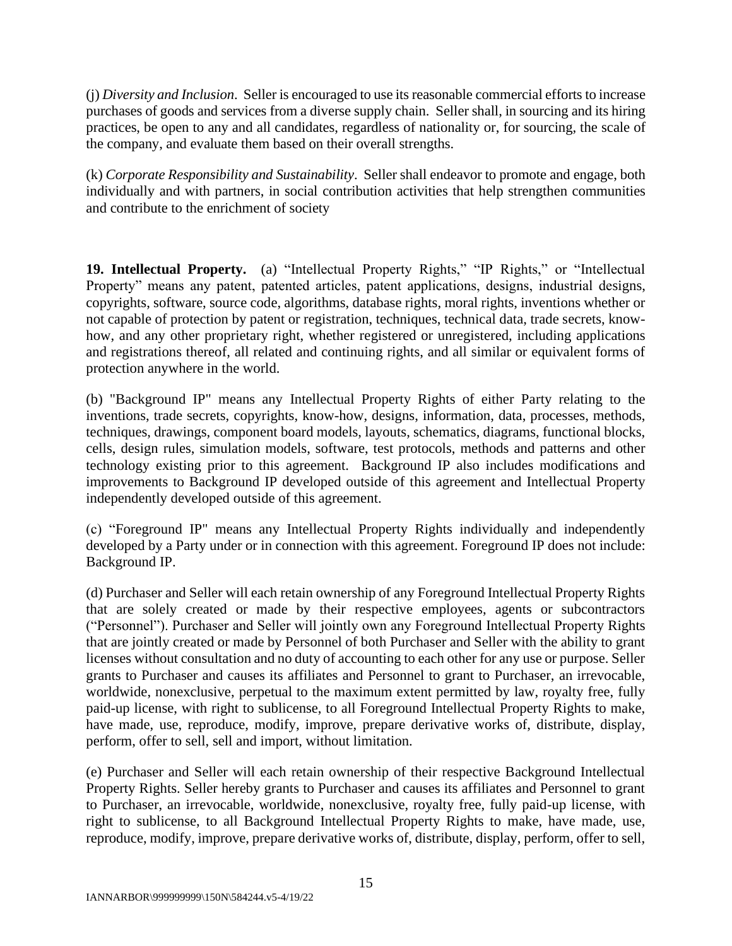(j) *Diversity and Inclusion*. Seller is encouraged to use its reasonable commercial efforts to increase purchases of goods and services from a diverse supply chain. Seller shall, in sourcing and its hiring practices, be open to any and all candidates, regardless of nationality or, for sourcing, the scale of the company, and evaluate them based on their overall strengths.

(k) *Corporate Responsibility and Sustainability*. Seller shall endeavor to promote and engage, both individually and with partners, in social contribution activities that help strengthen communities and contribute to the enrichment of society

**19. Intellectual Property.** (a) "Intellectual Property Rights," "IP Rights," or "Intellectual Property" means any patent, patented articles, patent applications, designs, industrial designs, copyrights, software, source code, algorithms, database rights, moral rights, inventions whether or not capable of protection by patent or registration, techniques, technical data, trade secrets, knowhow, and any other proprietary right, whether registered or unregistered, including applications and registrations thereof, all related and continuing rights, and all similar or equivalent forms of protection anywhere in the world.

(b) "Background IP" means any Intellectual Property Rights of either Party relating to the inventions, trade secrets, copyrights, know-how, designs, information, data, processes, methods, techniques, drawings, component board models, layouts, schematics, diagrams, functional blocks, cells, design rules, simulation models, software, test protocols, methods and patterns and other technology existing prior to this agreement. Background IP also includes modifications and improvements to Background IP developed outside of this agreement and Intellectual Property independently developed outside of this agreement.

(c) "Foreground IP" means any Intellectual Property Rights individually and independently developed by a Party under or in connection with this agreement. Foreground IP does not include: Background IP.

(d) Purchaser and Seller will each retain ownership of any Foreground Intellectual Property Rights that are solely created or made by their respective employees, agents or subcontractors ("Personnel"). Purchaser and Seller will jointly own any Foreground Intellectual Property Rights that are jointly created or made by Personnel of both Purchaser and Seller with the ability to grant licenses without consultation and no duty of accounting to each other for any use or purpose. Seller grants to Purchaser and causes its affiliates and Personnel to grant to Purchaser, an irrevocable, worldwide, nonexclusive, perpetual to the maximum extent permitted by law, royalty free, fully paid-up license, with right to sublicense, to all Foreground Intellectual Property Rights to make, have made, use, reproduce, modify, improve, prepare derivative works of, distribute, display, perform, offer to sell, sell and import, without limitation.

(e) Purchaser and Seller will each retain ownership of their respective Background Intellectual Property Rights. Seller hereby grants to Purchaser and causes its affiliates and Personnel to grant to Purchaser, an irrevocable, worldwide, nonexclusive, royalty free, fully paid-up license, with right to sublicense, to all Background Intellectual Property Rights to make, have made, use, reproduce, modify, improve, prepare derivative works of, distribute, display, perform, offer to sell,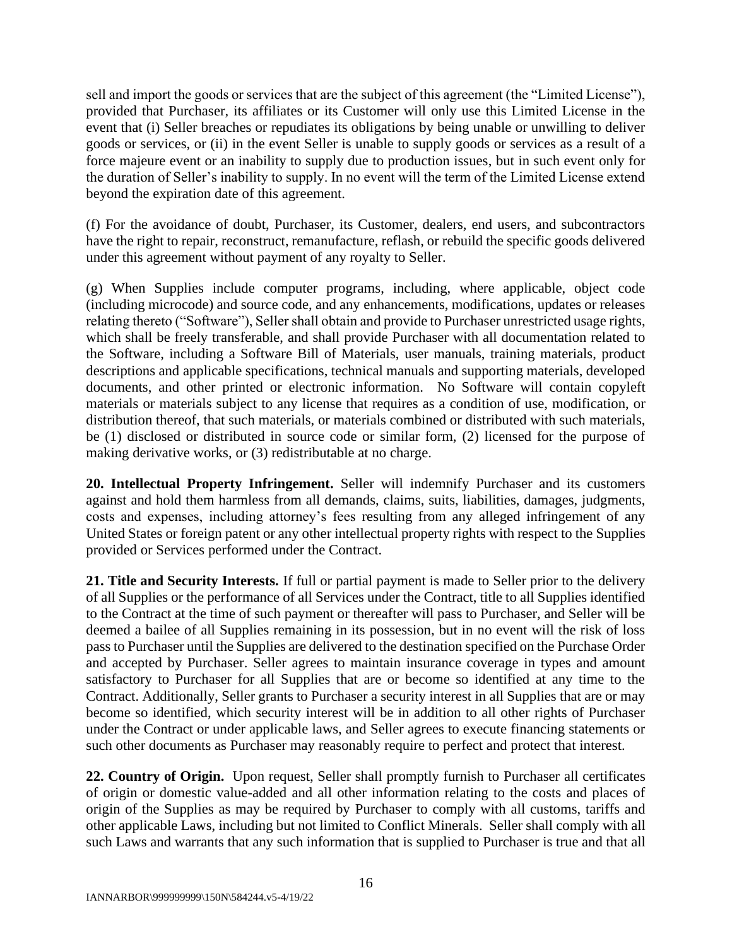sell and import the goods or services that are the subject of this agreement (the "Limited License"), provided that Purchaser, its affiliates or its Customer will only use this Limited License in the event that (i) Seller breaches or repudiates its obligations by being unable or unwilling to deliver goods or services, or (ii) in the event Seller is unable to supply goods or services as a result of a force majeure event or an inability to supply due to production issues, but in such event only for the duration of Seller's inability to supply. In no event will the term of the Limited License extend beyond the expiration date of this agreement.

(f) For the avoidance of doubt, Purchaser, its Customer, dealers, end users, and subcontractors have the right to repair, reconstruct, remanufacture, reflash, or rebuild the specific goods delivered under this agreement without payment of any royalty to Seller.

(g) When Supplies include computer programs, including, where applicable, object code (including microcode) and source code, and any enhancements, modifications, updates or releases relating thereto ("Software"), Seller shall obtain and provide to Purchaser unrestricted usage rights, which shall be freely transferable, and shall provide Purchaser with all documentation related to the Software, including a Software Bill of Materials, user manuals, training materials, product descriptions and applicable specifications, technical manuals and supporting materials, developed documents, and other printed or electronic information. No Software will contain copyleft materials or materials subject to any license that requires as a condition of use, modification, or distribution thereof, that such materials, or materials combined or distributed with such materials, be (1) disclosed or distributed in source code or similar form, (2) licensed for the purpose of making derivative works, or (3) redistributable at no charge.

**20. Intellectual Property Infringement.** Seller will indemnify Purchaser and its customers against and hold them harmless from all demands, claims, suits, liabilities, damages, judgments, costs and expenses, including attorney's fees resulting from any alleged infringement of any United States or foreign patent or any other intellectual property rights with respect to the Supplies provided or Services performed under the Contract.

**21. Title and Security Interests.** If full or partial payment is made to Seller prior to the delivery of all Supplies or the performance of all Services under the Contract, title to all Supplies identified to the Contract at the time of such payment or thereafter will pass to Purchaser, and Seller will be deemed a bailee of all Supplies remaining in its possession, but in no event will the risk of loss pass to Purchaser until the Supplies are delivered to the destination specified on the Purchase Order and accepted by Purchaser. Seller agrees to maintain insurance coverage in types and amount satisfactory to Purchaser for all Supplies that are or become so identified at any time to the Contract. Additionally, Seller grants to Purchaser a security interest in all Supplies that are or may become so identified, which security interest will be in addition to all other rights of Purchaser under the Contract or under applicable laws, and Seller agrees to execute financing statements or such other documents as Purchaser may reasonably require to perfect and protect that interest.

**22. Country of Origin.** Upon request, Seller shall promptly furnish to Purchaser all certificates of origin or domestic value-added and all other information relating to the costs and places of origin of the Supplies as may be required by Purchaser to comply with all customs, tariffs and other applicable Laws, including but not limited to Conflict Minerals. Seller shall comply with all such Laws and warrants that any such information that is supplied to Purchaser is true and that all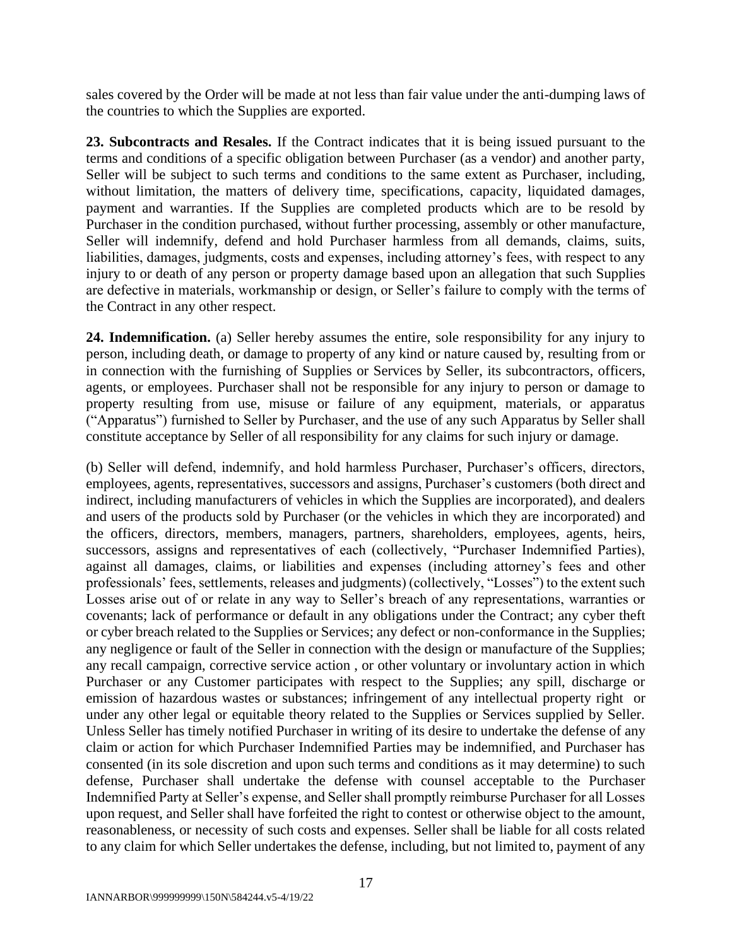sales covered by the Order will be made at not less than fair value under the anti-dumping laws of the countries to which the Supplies are exported.

**23. Subcontracts and Resales.** If the Contract indicates that it is being issued pursuant to the terms and conditions of a specific obligation between Purchaser (as a vendor) and another party, Seller will be subject to such terms and conditions to the same extent as Purchaser, including, without limitation, the matters of delivery time, specifications, capacity, liquidated damages, payment and warranties. If the Supplies are completed products which are to be resold by Purchaser in the condition purchased, without further processing, assembly or other manufacture, Seller will indemnify, defend and hold Purchaser harmless from all demands, claims, suits, liabilities, damages, judgments, costs and expenses, including attorney's fees, with respect to any injury to or death of any person or property damage based upon an allegation that such Supplies are defective in materials, workmanship or design, or Seller's failure to comply with the terms of the Contract in any other respect.

**24. Indemnification.** (a) Seller hereby assumes the entire, sole responsibility for any injury to person, including death, or damage to property of any kind or nature caused by, resulting from or in connection with the furnishing of Supplies or Services by Seller, its subcontractors, officers, agents, or employees. Purchaser shall not be responsible for any injury to person or damage to property resulting from use, misuse or failure of any equipment, materials, or apparatus ("Apparatus") furnished to Seller by Purchaser, and the use of any such Apparatus by Seller shall constitute acceptance by Seller of all responsibility for any claims for such injury or damage.

(b) Seller will defend, indemnify, and hold harmless Purchaser, Purchaser's officers, directors, employees, agents, representatives, successors and assigns, Purchaser's customers (both direct and indirect, including manufacturers of vehicles in which the Supplies are incorporated), and dealers and users of the products sold by Purchaser (or the vehicles in which they are incorporated) and the officers, directors, members, managers, partners, shareholders, employees, agents, heirs, successors, assigns and representatives of each (collectively, "Purchaser Indemnified Parties), against all damages, claims, or liabilities and expenses (including attorney's fees and other professionals' fees, settlements, releases and judgments) (collectively, "Losses") to the extent such Losses arise out of or relate in any way to Seller's breach of any representations, warranties or covenants; lack of performance or default in any obligations under the Contract; any cyber theft or cyber breach related to the Supplies or Services; any defect or non-conformance in the Supplies; any negligence or fault of the Seller in connection with the design or manufacture of the Supplies; any recall campaign, corrective service action , or other voluntary or involuntary action in which Purchaser or any Customer participates with respect to the Supplies; any spill, discharge or emission of hazardous wastes or substances; infringement of any intellectual property right or under any other legal or equitable theory related to the Supplies or Services supplied by Seller. Unless Seller has timely notified Purchaser in writing of its desire to undertake the defense of any claim or action for which Purchaser Indemnified Parties may be indemnified, and Purchaser has consented (in its sole discretion and upon such terms and conditions as it may determine) to such defense, Purchaser shall undertake the defense with counsel acceptable to the Purchaser Indemnified Party at Seller's expense, and Seller shall promptly reimburse Purchaser for all Losses upon request, and Seller shall have forfeited the right to contest or otherwise object to the amount, reasonableness, or necessity of such costs and expenses. Seller shall be liable for all costs related to any claim for which Seller undertakes the defense, including, but not limited to, payment of any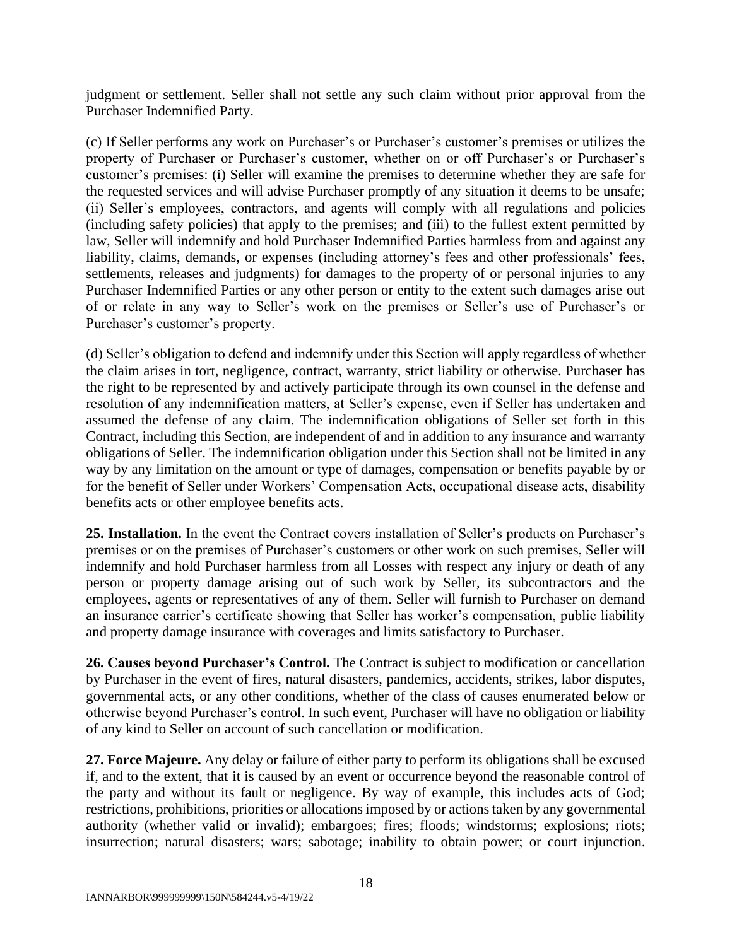judgment or settlement. Seller shall not settle any such claim without prior approval from the Purchaser Indemnified Party.

(c) If Seller performs any work on Purchaser's or Purchaser's customer's premises or utilizes the property of Purchaser or Purchaser's customer, whether on or off Purchaser's or Purchaser's customer's premises: (i) Seller will examine the premises to determine whether they are safe for the requested services and will advise Purchaser promptly of any situation it deems to be unsafe; (ii) Seller's employees, contractors, and agents will comply with all regulations and policies (including safety policies) that apply to the premises; and (iii) to the fullest extent permitted by law, Seller will indemnify and hold Purchaser Indemnified Parties harmless from and against any liability, claims, demands, or expenses (including attorney's fees and other professionals' fees, settlements, releases and judgments) for damages to the property of or personal injuries to any Purchaser Indemnified Parties or any other person or entity to the extent such damages arise out of or relate in any way to Seller's work on the premises or Seller's use of Purchaser's or Purchaser's customer's property.

(d) Seller's obligation to defend and indemnify under this Section will apply regardless of whether the claim arises in tort, negligence, contract, warranty, strict liability or otherwise. Purchaser has the right to be represented by and actively participate through its own counsel in the defense and resolution of any indemnification matters, at Seller's expense, even if Seller has undertaken and assumed the defense of any claim. The indemnification obligations of Seller set forth in this Contract, including this Section, are independent of and in addition to any insurance and warranty obligations of Seller. The indemnification obligation under this Section shall not be limited in any way by any limitation on the amount or type of damages, compensation or benefits payable by or for the benefit of Seller under Workers' Compensation Acts, occupational disease acts, disability benefits acts or other employee benefits acts.

**25. Installation.** In the event the Contract covers installation of Seller's products on Purchaser's premises or on the premises of Purchaser's customers or other work on such premises, Seller will indemnify and hold Purchaser harmless from all Losses with respect any injury or death of any person or property damage arising out of such work by Seller, its subcontractors and the employees, agents or representatives of any of them. Seller will furnish to Purchaser on demand an insurance carrier's certificate showing that Seller has worker's compensation, public liability and property damage insurance with coverages and limits satisfactory to Purchaser.

**26. Causes beyond Purchaser's Control.** The Contract is subject to modification or cancellation by Purchaser in the event of fires, natural disasters, pandemics, accidents, strikes, labor disputes, governmental acts, or any other conditions, whether of the class of causes enumerated below or otherwise beyond Purchaser's control. In such event, Purchaser will have no obligation or liability of any kind to Seller on account of such cancellation or modification.

**27. Force Majeure.** Any delay or failure of either party to perform its obligations shall be excused if, and to the extent, that it is caused by an event or occurrence beyond the reasonable control of the party and without its fault or negligence. By way of example, this includes acts of God; restrictions, prohibitions, priorities or allocations imposed by or actions taken by any governmental authority (whether valid or invalid); embargoes; fires; floods; windstorms; explosions; riots; insurrection; natural disasters; wars; sabotage; inability to obtain power; or court injunction.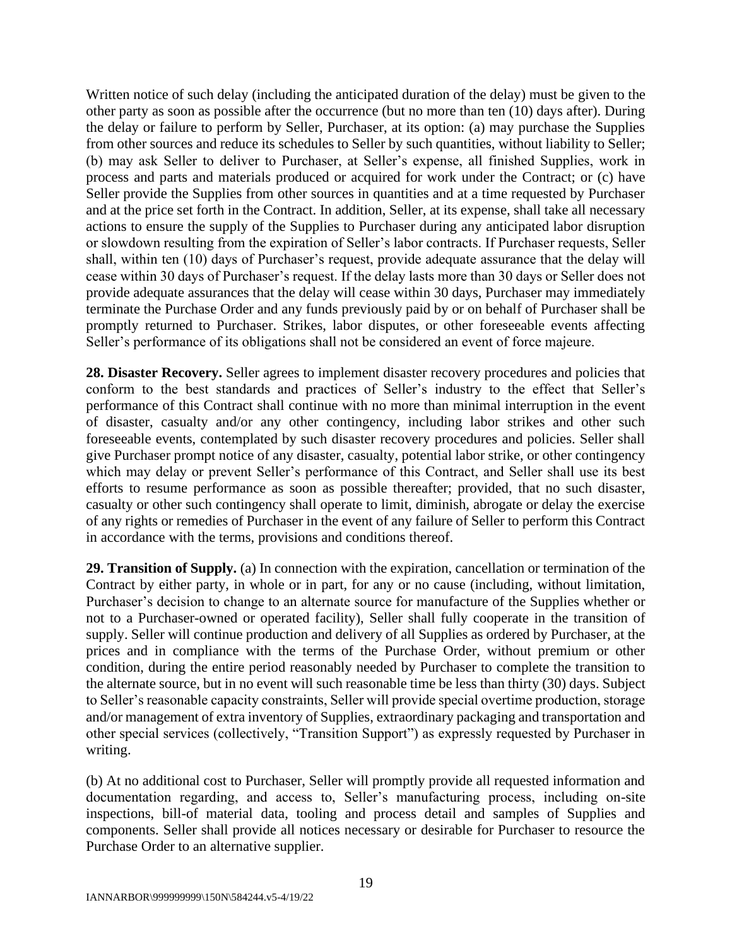Written notice of such delay (including the anticipated duration of the delay) must be given to the other party as soon as possible after the occurrence (but no more than ten (10) days after). During the delay or failure to perform by Seller, Purchaser, at its option: (a) may purchase the Supplies from other sources and reduce its schedules to Seller by such quantities, without liability to Seller; (b) may ask Seller to deliver to Purchaser, at Seller's expense, all finished Supplies, work in process and parts and materials produced or acquired for work under the Contract; or (c) have Seller provide the Supplies from other sources in quantities and at a time requested by Purchaser and at the price set forth in the Contract. In addition, Seller, at its expense, shall take all necessary actions to ensure the supply of the Supplies to Purchaser during any anticipated labor disruption or slowdown resulting from the expiration of Seller's labor contracts. If Purchaser requests, Seller shall, within ten (10) days of Purchaser's request, provide adequate assurance that the delay will cease within 30 days of Purchaser's request. If the delay lasts more than 30 days or Seller does not provide adequate assurances that the delay will cease within 30 days, Purchaser may immediately terminate the Purchase Order and any funds previously paid by or on behalf of Purchaser shall be promptly returned to Purchaser. Strikes, labor disputes, or other foreseeable events affecting Seller's performance of its obligations shall not be considered an event of force majeure.

**28. Disaster Recovery.** Seller agrees to implement disaster recovery procedures and policies that conform to the best standards and practices of Seller's industry to the effect that Seller's performance of this Contract shall continue with no more than minimal interruption in the event of disaster, casualty and/or any other contingency, including labor strikes and other such foreseeable events, contemplated by such disaster recovery procedures and policies. Seller shall give Purchaser prompt notice of any disaster, casualty, potential labor strike, or other contingency which may delay or prevent Seller's performance of this Contract, and Seller shall use its best efforts to resume performance as soon as possible thereafter; provided, that no such disaster, casualty or other such contingency shall operate to limit, diminish, abrogate or delay the exercise of any rights or remedies of Purchaser in the event of any failure of Seller to perform this Contract in accordance with the terms, provisions and conditions thereof.

**29. Transition of Supply.** (a) In connection with the expiration, cancellation or termination of the Contract by either party, in whole or in part, for any or no cause (including, without limitation, Purchaser's decision to change to an alternate source for manufacture of the Supplies whether or not to a Purchaser-owned or operated facility), Seller shall fully cooperate in the transition of supply. Seller will continue production and delivery of all Supplies as ordered by Purchaser, at the prices and in compliance with the terms of the Purchase Order, without premium or other condition, during the entire period reasonably needed by Purchaser to complete the transition to the alternate source, but in no event will such reasonable time be less than thirty (30) days. Subject to Seller's reasonable capacity constraints, Seller will provide special overtime production, storage and/or management of extra inventory of Supplies, extraordinary packaging and transportation and other special services (collectively, "Transition Support") as expressly requested by Purchaser in writing.

(b) At no additional cost to Purchaser, Seller will promptly provide all requested information and documentation regarding, and access to, Seller's manufacturing process, including on-site inspections, bill-of material data, tooling and process detail and samples of Supplies and components. Seller shall provide all notices necessary or desirable for Purchaser to resource the Purchase Order to an alternative supplier.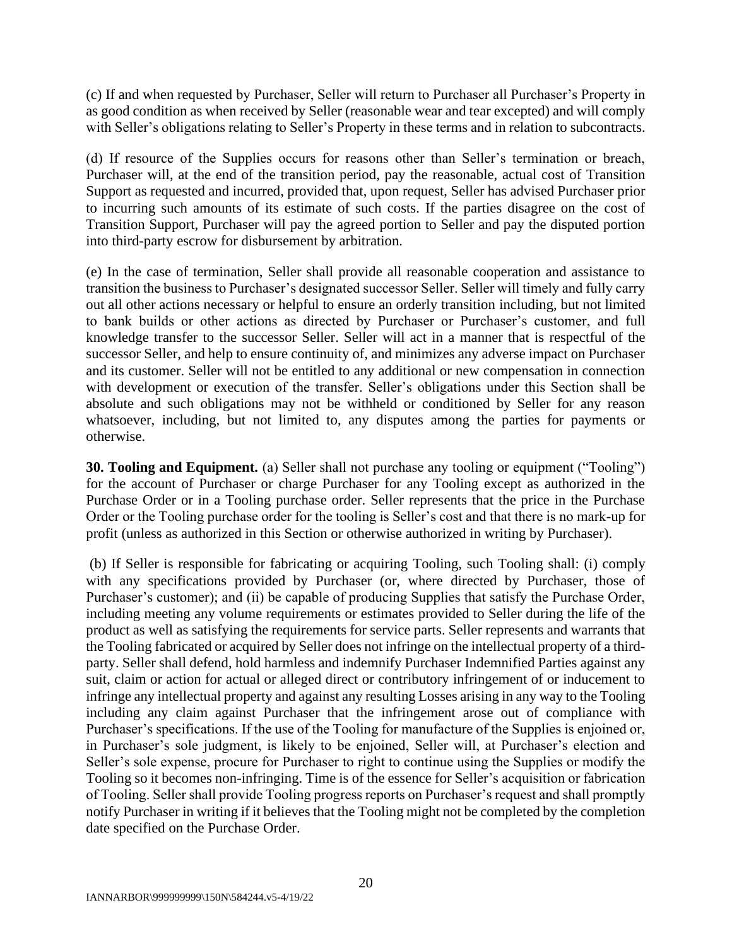(c) If and when requested by Purchaser, Seller will return to Purchaser all Purchaser's Property in as good condition as when received by Seller (reasonable wear and tear excepted) and will comply with Seller's obligations relating to Seller's Property in these terms and in relation to subcontracts.

(d) If resource of the Supplies occurs for reasons other than Seller's termination or breach, Purchaser will, at the end of the transition period, pay the reasonable, actual cost of Transition Support as requested and incurred, provided that, upon request, Seller has advised Purchaser prior to incurring such amounts of its estimate of such costs. If the parties disagree on the cost of Transition Support, Purchaser will pay the agreed portion to Seller and pay the disputed portion into third-party escrow for disbursement by arbitration.

(e) In the case of termination, Seller shall provide all reasonable cooperation and assistance to transition the business to Purchaser's designated successor Seller. Seller will timely and fully carry out all other actions necessary or helpful to ensure an orderly transition including, but not limited to bank builds or other actions as directed by Purchaser or Purchaser's customer, and full knowledge transfer to the successor Seller. Seller will act in a manner that is respectful of the successor Seller, and help to ensure continuity of, and minimizes any adverse impact on Purchaser and its customer. Seller will not be entitled to any additional or new compensation in connection with development or execution of the transfer. Seller's obligations under this Section shall be absolute and such obligations may not be withheld or conditioned by Seller for any reason whatsoever, including, but not limited to, any disputes among the parties for payments or otherwise.

**30. Tooling and Equipment.** (a) Seller shall not purchase any tooling or equipment ("Tooling") for the account of Purchaser or charge Purchaser for any Tooling except as authorized in the Purchase Order or in a Tooling purchase order. Seller represents that the price in the Purchase Order or the Tooling purchase order for the tooling is Seller's cost and that there is no mark-up for profit (unless as authorized in this Section or otherwise authorized in writing by Purchaser).

(b) If Seller is responsible for fabricating or acquiring Tooling, such Tooling shall: (i) comply with any specifications provided by Purchaser (or, where directed by Purchaser, those of Purchaser's customer); and (ii) be capable of producing Supplies that satisfy the Purchase Order, including meeting any volume requirements or estimates provided to Seller during the life of the product as well as satisfying the requirements for service parts. Seller represents and warrants that the Tooling fabricated or acquired by Seller does not infringe on the intellectual property of a thirdparty. Seller shall defend, hold harmless and indemnify Purchaser Indemnified Parties against any suit, claim or action for actual or alleged direct or contributory infringement of or inducement to infringe any intellectual property and against any resulting Losses arising in any way to the Tooling including any claim against Purchaser that the infringement arose out of compliance with Purchaser's specifications. If the use of the Tooling for manufacture of the Supplies is enjoined or, in Purchaser's sole judgment, is likely to be enjoined, Seller will, at Purchaser's election and Seller's sole expense, procure for Purchaser to right to continue using the Supplies or modify the Tooling so it becomes non-infringing. Time is of the essence for Seller's acquisition or fabrication of Tooling. Seller shall provide Tooling progress reports on Purchaser's request and shall promptly notify Purchaser in writing if it believes that the Tooling might not be completed by the completion date specified on the Purchase Order.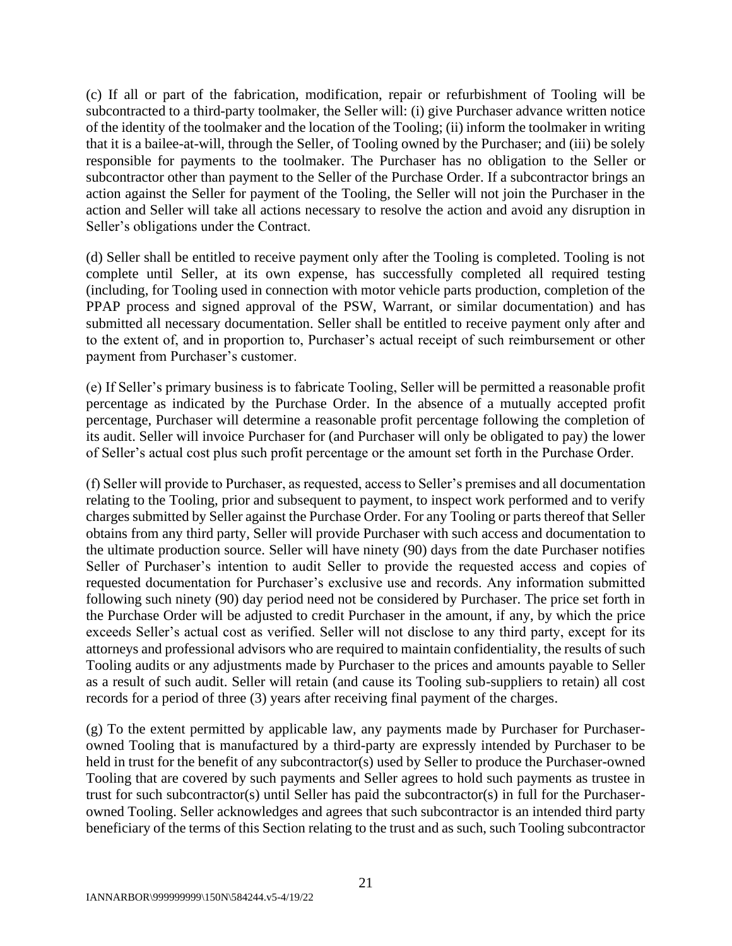(c) If all or part of the fabrication, modification, repair or refurbishment of Tooling will be subcontracted to a third-party toolmaker, the Seller will: (i) give Purchaser advance written notice of the identity of the toolmaker and the location of the Tooling; (ii) inform the toolmaker in writing that it is a bailee-at-will, through the Seller, of Tooling owned by the Purchaser; and (iii) be solely responsible for payments to the toolmaker. The Purchaser has no obligation to the Seller or subcontractor other than payment to the Seller of the Purchase Order. If a subcontractor brings an action against the Seller for payment of the Tooling, the Seller will not join the Purchaser in the action and Seller will take all actions necessary to resolve the action and avoid any disruption in Seller's obligations under the Contract.

(d) Seller shall be entitled to receive payment only after the Tooling is completed. Tooling is not complete until Seller, at its own expense, has successfully completed all required testing (including, for Tooling used in connection with motor vehicle parts production, completion of the PPAP process and signed approval of the PSW, Warrant, or similar documentation) and has submitted all necessary documentation. Seller shall be entitled to receive payment only after and to the extent of, and in proportion to, Purchaser's actual receipt of such reimbursement or other payment from Purchaser's customer.

(e) If Seller's primary business is to fabricate Tooling, Seller will be permitted a reasonable profit percentage as indicated by the Purchase Order. In the absence of a mutually accepted profit percentage, Purchaser will determine a reasonable profit percentage following the completion of its audit. Seller will invoice Purchaser for (and Purchaser will only be obligated to pay) the lower of Seller's actual cost plus such profit percentage or the amount set forth in the Purchase Order.

(f) Seller will provide to Purchaser, as requested, access to Seller's premises and all documentation relating to the Tooling, prior and subsequent to payment, to inspect work performed and to verify charges submitted by Seller against the Purchase Order. For any Tooling or parts thereof that Seller obtains from any third party, Seller will provide Purchaser with such access and documentation to the ultimate production source. Seller will have ninety (90) days from the date Purchaser notifies Seller of Purchaser's intention to audit Seller to provide the requested access and copies of requested documentation for Purchaser's exclusive use and records. Any information submitted following such ninety (90) day period need not be considered by Purchaser. The price set forth in the Purchase Order will be adjusted to credit Purchaser in the amount, if any, by which the price exceeds Seller's actual cost as verified. Seller will not disclose to any third party, except for its attorneys and professional advisors who are required to maintain confidentiality, the results of such Tooling audits or any adjustments made by Purchaser to the prices and amounts payable to Seller as a result of such audit. Seller will retain (and cause its Tooling sub-suppliers to retain) all cost records for a period of three (3) years after receiving final payment of the charges.

(g) To the extent permitted by applicable law, any payments made by Purchaser for Purchaserowned Tooling that is manufactured by a third-party are expressly intended by Purchaser to be held in trust for the benefit of any subcontractor(s) used by Seller to produce the Purchaser-owned Tooling that are covered by such payments and Seller agrees to hold such payments as trustee in trust for such subcontractor(s) until Seller has paid the subcontractor(s) in full for the Purchaserowned Tooling. Seller acknowledges and agrees that such subcontractor is an intended third party beneficiary of the terms of this Section relating to the trust and as such, such Tooling subcontractor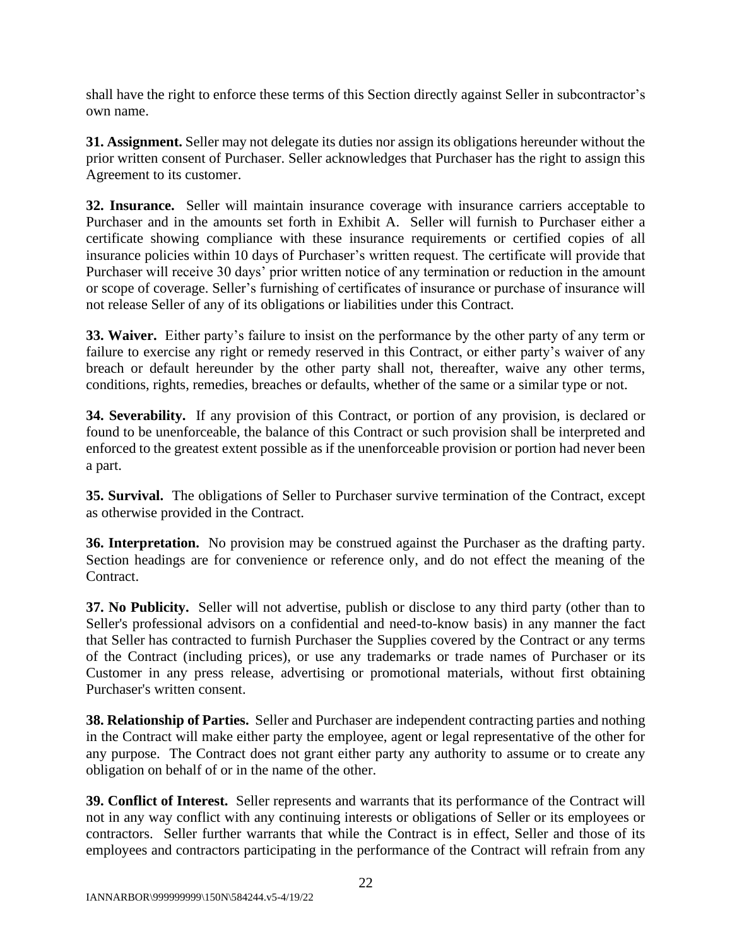shall have the right to enforce these terms of this Section directly against Seller in subcontractor's own name.

**31. Assignment.** Seller may not delegate its duties nor assign its obligations hereunder without the prior written consent of Purchaser. Seller acknowledges that Purchaser has the right to assign this Agreement to its customer.

**32. Insurance.** Seller will maintain insurance coverage with insurance carriers acceptable to Purchaser and in the amounts set forth in Exhibit A. Seller will furnish to Purchaser either a certificate showing compliance with these insurance requirements or certified copies of all insurance policies within 10 days of Purchaser's written request. The certificate will provide that Purchaser will receive 30 days' prior written notice of any termination or reduction in the amount or scope of coverage. Seller's furnishing of certificates of insurance or purchase of insurance will not release Seller of any of its obligations or liabilities under this Contract.

**33. Waiver.** Either party's failure to insist on the performance by the other party of any term or failure to exercise any right or remedy reserved in this Contract, or either party's waiver of any breach or default hereunder by the other party shall not, thereafter, waive any other terms, conditions, rights, remedies, breaches or defaults, whether of the same or a similar type or not.

**34. Severability.** If any provision of this Contract, or portion of any provision, is declared or found to be unenforceable, the balance of this Contract or such provision shall be interpreted and enforced to the greatest extent possible as if the unenforceable provision or portion had never been a part.

**35. Survival.** The obligations of Seller to Purchaser survive termination of the Contract, except as otherwise provided in the Contract.

**36. Interpretation.** No provision may be construed against the Purchaser as the drafting party. Section headings are for convenience or reference only, and do not effect the meaning of the Contract.

**37. No Publicity.** Seller will not advertise, publish or disclose to any third party (other than to Seller's professional advisors on a confidential and need-to-know basis) in any manner the fact that Seller has contracted to furnish Purchaser the Supplies covered by the Contract or any terms of the Contract (including prices), or use any trademarks or trade names of Purchaser or its Customer in any press release, advertising or promotional materials, without first obtaining Purchaser's written consent.

**38. Relationship of Parties.** Seller and Purchaser are independent contracting parties and nothing in the Contract will make either party the employee, agent or legal representative of the other for any purpose. The Contract does not grant either party any authority to assume or to create any obligation on behalf of or in the name of the other.

**39. Conflict of Interest.** Seller represents and warrants that its performance of the Contract will not in any way conflict with any continuing interests or obligations of Seller or its employees or contractors. Seller further warrants that while the Contract is in effect, Seller and those of its employees and contractors participating in the performance of the Contract will refrain from any